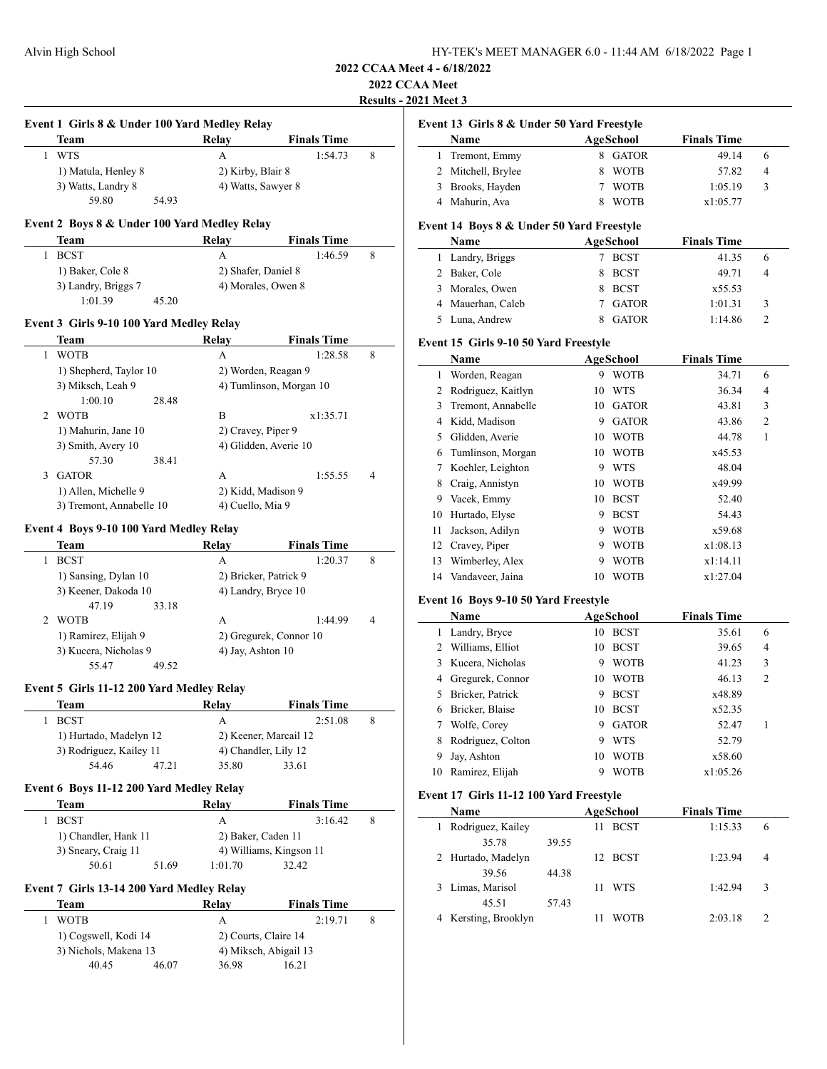# **2022 CCAA Meet**

**Results - 2021 Meet 3**

|   | Team                                         | Relay               | <b>Finals Time</b>            |   |
|---|----------------------------------------------|---------------------|-------------------------------|---|
| 1 | <b>WTS</b>                                   | А                   | 1:54.73                       | 8 |
|   | 1) Matula, Henley 8                          | 2) Kirby, Blair 8   |                               |   |
|   | 3) Watts, Landry 8                           | 4) Watts, Sawyer 8  |                               |   |
|   | 59.80<br>54.93                               |                     |                               |   |
|   | Event 2 Boys 8 & Under 100 Yard Medley Relay |                     |                               |   |
| 1 | Team<br><b>BCST</b>                          | Relay<br>A          | <b>Finals Time</b><br>1:46.59 | 8 |
|   | 1) Baker, Cole 8                             | 2) Shafer, Daniel 8 |                               |   |
|   | 3) Landry, Briggs 7                          |                     | 4) Morales, Owen 8            |   |
|   | 1:01.39<br>45.20                             |                     |                               |   |
|   | Event 3 Girls 9-10 100 Yard Medley Relay     |                     |                               |   |
|   | Team                                         | Relay               | <b>Finals Time</b>            |   |
| 1 | <b>WOTB</b>                                  | А                   | 1:28.58                       | 8 |
|   | 1) Shepherd, Taylor 10                       |                     | 2) Worden, Reagan 9           |   |
|   | 3) Miksch, Leah 9                            |                     | 4) Tumlinson, Morgan 10       |   |
|   | 1:00.10<br>28.48                             |                     |                               |   |
| 2 | <b>WOTB</b>                                  | B                   | x1:35.71                      |   |
|   | 1) Mahurin, Jane 10                          | 2) Cravey, Piper 9  |                               |   |
|   | 3) Smith, Avery 10                           |                     | 4) Glidden, Averie 10         |   |
|   | 57.30<br>38.41                               |                     |                               |   |
| 3 | <b>GATOR</b>                                 | A                   | 1:55.55                       | 4 |
|   | 1) Allen, Michelle 9                         | 2) Kidd, Madison 9  |                               |   |
|   | 3) Tremont, Annabelle 10                     | 4) Cuello, Mia 9    |                               |   |
|   | Event 4 Boys 9-10 100 Yard Medley Relay      |                     |                               |   |
|   | Team                                         | <b>Relay</b>        | <b>Finals Time</b>            |   |
| 1 | <b>BCST</b>                                  | А                   | 1:20.37                       | 8 |
|   | 1) Sansing, Dylan 10                         |                     | 2) Bricker, Patrick 9         |   |
|   | 3) Keener, Dakoda 10                         |                     | 4) Landry, Bryce 10           |   |
|   | 47.19<br>33.18                               |                     |                               |   |
| 2 | WOTB                                         | А                   | 1:44.99                       | 4 |
|   | 1) Ramirez, Elijah 9                         |                     | 2) Gregurek, Connor 10        |   |
|   | 3) Kucera, Nicholas 9                        | 4) Jay, Ashton 10   |                               |   |
|   | 55.47<br>49.52                               |                     |                               |   |
|   | Event 5 Girls 11-12 200 Yard Medley Relay    |                     |                               |   |
|   | <b>Team</b>                                  | Relay               | <b>Finals Time</b>            |   |
| 1 | <b>BCST</b>                                  | A                   | 2:51.08                       | 8 |
|   | 1) Hurtado, Madelyn 12                       |                     | 2) Keener, Marcail 12         |   |
|   | 3) Rodriguez, Kailey 11                      |                     | 4) Chandler, Lily 12          |   |
|   | 54.46<br>47.21                               | 35.80               | 33.61                         |   |
|   | Event 6 Boys 11-12 200 Yard Medley Relay     |                     |                               |   |
|   | Team                                         | Relay               | <b>Finals Time</b>            |   |
| 1 | <b>BCST</b>                                  | A                   | 3:16.42                       | 8 |
|   | 1) Chandler, Hank 11                         | 2) Baker, Caden 11  |                               |   |
|   | 3) Sneary, Craig 11                          |                     | 4) Williams, Kingson 11       |   |
|   | 50.61<br>51.69                               | 1:01.70             | 32.42                         |   |
|   | Event 7 Girls 13-14 200 Yard Medley Relay    |                     |                               |   |
|   | Team                                         | Relay               | <b>Finals Time</b>            |   |
| 1 | <b>WOTB</b>                                  | A                   | 2:19.71                       | 8 |
|   | 1) Cogswell, Kodi 14                         |                     | 2) Courts, Claire 14          |   |
|   | 3) Nichols, Makena 13                        |                     | 4) Miksch, Abigail 13         |   |
|   | 40.45<br>46.07                               | 36.98               | 16.21                         |   |

| Name<br>Tremont, Emmy<br>2 Mitchell, Brylee<br>3 Brooks, Hayden<br>4 Mahurin, Ava<br>Event 14 Boys 8 & Under 50 Yard Freestyle<br>Name<br>1 Landry, Briggs<br>2 Baker, Cole<br>3 Morales, Owen<br>4 Mauerhan, Caleb<br>5 Luna, Andrew<br>Event 15 Girls 9-10 50 Yard Freestyle<br>Name<br>Worden, Reagan<br>2 Rodriguez, Kaitlyn<br>3 Tremont, Annabelle<br>4 Kidd, Madison<br>5 Glidden, Averie<br>6 Tumlinson, Morgan<br>7 Koehler, Leighton<br>8 Craig, Annistyn<br>9 Vacek, Emmy<br>10 Hurtado, Elyse<br>Jackson, Adilyn<br>12 Cravey, Piper |                                                                                      | 8<br>7<br>8<br>8 | AgeSchool<br>8 GATOR<br><b>WOTB</b><br><b>WOTB</b><br>WOTB<br><b>AgeSchool</b><br>7 BCST<br><b>BCST</b><br>8 BCST<br>7 GATOR<br>8 GATOR<br><b>AgeSchool</b><br>9 WOTB<br>10 WTS<br>10 GATOR<br>9 GATOR<br>10 WOTB<br>10 WOTB<br>9 WTS<br>10 WOTB<br>10 BCST | <b>Finals Time</b><br>49.14<br>57.82<br>1:05.19<br>x1:05.77<br><b>Finals Time</b><br>41.35<br>49.71<br>x55.53<br>1:01.31<br>1:14.86<br><b>Finals Time</b><br>34.71<br>36.34<br>43.81<br>43.86<br>44.78<br>x45.53<br>48.04<br>x49.99 | 6<br>4<br>3<br>6<br>4<br>3<br>2<br>6<br>4<br>3<br>$\overline{c}$<br>1 |
|--------------------------------------------------------------------------------------------------------------------------------------------------------------------------------------------------------------------------------------------------------------------------------------------------------------------------------------------------------------------------------------------------------------------------------------------------------------------------------------------------------------------------------------------------|--------------------------------------------------------------------------------------|------------------|-------------------------------------------------------------------------------------------------------------------------------------------------------------------------------------------------------------------------------------------------------------|-------------------------------------------------------------------------------------------------------------------------------------------------------------------------------------------------------------------------------------|-----------------------------------------------------------------------|
|                                                                                                                                                                                                                                                                                                                                                                                                                                                                                                                                                  |                                                                                      |                  |                                                                                                                                                                                                                                                             |                                                                                                                                                                                                                                     |                                                                       |
|                                                                                                                                                                                                                                                                                                                                                                                                                                                                                                                                                  |                                                                                      |                  |                                                                                                                                                                                                                                                             |                                                                                                                                                                                                                                     |                                                                       |
|                                                                                                                                                                                                                                                                                                                                                                                                                                                                                                                                                  |                                                                                      |                  |                                                                                                                                                                                                                                                             |                                                                                                                                                                                                                                     |                                                                       |
|                                                                                                                                                                                                                                                                                                                                                                                                                                                                                                                                                  |                                                                                      |                  |                                                                                                                                                                                                                                                             |                                                                                                                                                                                                                                     |                                                                       |
|                                                                                                                                                                                                                                                                                                                                                                                                                                                                                                                                                  |                                                                                      |                  |                                                                                                                                                                                                                                                             |                                                                                                                                                                                                                                     |                                                                       |
|                                                                                                                                                                                                                                                                                                                                                                                                                                                                                                                                                  |                                                                                      |                  |                                                                                                                                                                                                                                                             |                                                                                                                                                                                                                                     |                                                                       |
|                                                                                                                                                                                                                                                                                                                                                                                                                                                                                                                                                  |                                                                                      |                  |                                                                                                                                                                                                                                                             |                                                                                                                                                                                                                                     |                                                                       |
|                                                                                                                                                                                                                                                                                                                                                                                                                                                                                                                                                  |                                                                                      |                  |                                                                                                                                                                                                                                                             |                                                                                                                                                                                                                                     |                                                                       |
|                                                                                                                                                                                                                                                                                                                                                                                                                                                                                                                                                  |                                                                                      |                  |                                                                                                                                                                                                                                                             |                                                                                                                                                                                                                                     |                                                                       |
|                                                                                                                                                                                                                                                                                                                                                                                                                                                                                                                                                  |                                                                                      |                  |                                                                                                                                                                                                                                                             |                                                                                                                                                                                                                                     |                                                                       |
|                                                                                                                                                                                                                                                                                                                                                                                                                                                                                                                                                  |                                                                                      |                  |                                                                                                                                                                                                                                                             |                                                                                                                                                                                                                                     |                                                                       |
|                                                                                                                                                                                                                                                                                                                                                                                                                                                                                                                                                  |                                                                                      |                  |                                                                                                                                                                                                                                                             |                                                                                                                                                                                                                                     |                                                                       |
|                                                                                                                                                                                                                                                                                                                                                                                                                                                                                                                                                  |                                                                                      |                  |                                                                                                                                                                                                                                                             |                                                                                                                                                                                                                                     |                                                                       |
|                                                                                                                                                                                                                                                                                                                                                                                                                                                                                                                                                  |                                                                                      |                  |                                                                                                                                                                                                                                                             |                                                                                                                                                                                                                                     |                                                                       |
|                                                                                                                                                                                                                                                                                                                                                                                                                                                                                                                                                  |                                                                                      |                  |                                                                                                                                                                                                                                                             |                                                                                                                                                                                                                                     |                                                                       |
|                                                                                                                                                                                                                                                                                                                                                                                                                                                                                                                                                  |                                                                                      |                  |                                                                                                                                                                                                                                                             |                                                                                                                                                                                                                                     |                                                                       |
|                                                                                                                                                                                                                                                                                                                                                                                                                                                                                                                                                  |                                                                                      |                  |                                                                                                                                                                                                                                                             |                                                                                                                                                                                                                                     |                                                                       |
|                                                                                                                                                                                                                                                                                                                                                                                                                                                                                                                                                  |                                                                                      |                  |                                                                                                                                                                                                                                                             |                                                                                                                                                                                                                                     |                                                                       |
|                                                                                                                                                                                                                                                                                                                                                                                                                                                                                                                                                  |                                                                                      |                  |                                                                                                                                                                                                                                                             |                                                                                                                                                                                                                                     |                                                                       |
|                                                                                                                                                                                                                                                                                                                                                                                                                                                                                                                                                  |                                                                                      |                  |                                                                                                                                                                                                                                                             |                                                                                                                                                                                                                                     |                                                                       |
|                                                                                                                                                                                                                                                                                                                                                                                                                                                                                                                                                  |                                                                                      |                  |                                                                                                                                                                                                                                                             |                                                                                                                                                                                                                                     |                                                                       |
|                                                                                                                                                                                                                                                                                                                                                                                                                                                                                                                                                  |                                                                                      |                  |                                                                                                                                                                                                                                                             |                                                                                                                                                                                                                                     |                                                                       |
|                                                                                                                                                                                                                                                                                                                                                                                                                                                                                                                                                  |                                                                                      |                  |                                                                                                                                                                                                                                                             | 52.40                                                                                                                                                                                                                               |                                                                       |
|                                                                                                                                                                                                                                                                                                                                                                                                                                                                                                                                                  |                                                                                      |                  | 9 BCST                                                                                                                                                                                                                                                      | 54.43                                                                                                                                                                                                                               |                                                                       |
|                                                                                                                                                                                                                                                                                                                                                                                                                                                                                                                                                  |                                                                                      |                  | 9 WOTB                                                                                                                                                                                                                                                      | x59.68                                                                                                                                                                                                                              |                                                                       |
|                                                                                                                                                                                                                                                                                                                                                                                                                                                                                                                                                  |                                                                                      | 9.               | WOTB                                                                                                                                                                                                                                                        | x1:08.13                                                                                                                                                                                                                            |                                                                       |
| Wimberley, Alex                                                                                                                                                                                                                                                                                                                                                                                                                                                                                                                                  |                                                                                      | 9                | <b>WOTB</b>                                                                                                                                                                                                                                                 | x1:14.11                                                                                                                                                                                                                            |                                                                       |
|                                                                                                                                                                                                                                                                                                                                                                                                                                                                                                                                                  |                                                                                      |                  |                                                                                                                                                                                                                                                             |                                                                                                                                                                                                                                     |                                                                       |
| 14 Vandaveer, Jaina                                                                                                                                                                                                                                                                                                                                                                                                                                                                                                                              |                                                                                      |                  | 10 WOTB                                                                                                                                                                                                                                                     | x1:27.04                                                                                                                                                                                                                            |                                                                       |
| Event 16 Boys 9-10 50 Yard Freestyle                                                                                                                                                                                                                                                                                                                                                                                                                                                                                                             |                                                                                      |                  |                                                                                                                                                                                                                                                             | <b>Finals Time</b>                                                                                                                                                                                                                  |                                                                       |
| Name                                                                                                                                                                                                                                                                                                                                                                                                                                                                                                                                             |                                                                                      |                  | <b>AgeSchool</b>                                                                                                                                                                                                                                            |                                                                                                                                                                                                                                     |                                                                       |
| 1 Landry, Bryce                                                                                                                                                                                                                                                                                                                                                                                                                                                                                                                                  |                                                                                      |                  | 10 BCST                                                                                                                                                                                                                                                     | 35.61                                                                                                                                                                                                                               | 6                                                                     |
|                                                                                                                                                                                                                                                                                                                                                                                                                                                                                                                                                  |                                                                                      |                  |                                                                                                                                                                                                                                                             |                                                                                                                                                                                                                                     | 4                                                                     |
|                                                                                                                                                                                                                                                                                                                                                                                                                                                                                                                                                  |                                                                                      |                  |                                                                                                                                                                                                                                                             |                                                                                                                                                                                                                                     | 3                                                                     |
|                                                                                                                                                                                                                                                                                                                                                                                                                                                                                                                                                  |                                                                                      |                  |                                                                                                                                                                                                                                                             |                                                                                                                                                                                                                                     | $\overline{2}$                                                        |
|                                                                                                                                                                                                                                                                                                                                                                                                                                                                                                                                                  |                                                                                      | 9                |                                                                                                                                                                                                                                                             |                                                                                                                                                                                                                                     |                                                                       |
| Bricker, Blaise                                                                                                                                                                                                                                                                                                                                                                                                                                                                                                                                  |                                                                                      | 10               |                                                                                                                                                                                                                                                             | x52.35                                                                                                                                                                                                                              |                                                                       |
| Wolfe, Corey                                                                                                                                                                                                                                                                                                                                                                                                                                                                                                                                     |                                                                                      |                  |                                                                                                                                                                                                                                                             | 52.47                                                                                                                                                                                                                               | 1                                                                     |
| Rodriguez, Colton                                                                                                                                                                                                                                                                                                                                                                                                                                                                                                                                |                                                                                      | 9                | <b>WTS</b>                                                                                                                                                                                                                                                  | 52.79                                                                                                                                                                                                                               |                                                                       |
| Jay, Ashton                                                                                                                                                                                                                                                                                                                                                                                                                                                                                                                                      |                                                                                      | 10               | <b>WOTB</b>                                                                                                                                                                                                                                                 | x58.60                                                                                                                                                                                                                              |                                                                       |
| 10 Ramirez, Elijah                                                                                                                                                                                                                                                                                                                                                                                                                                                                                                                               |                                                                                      | 9                | <b>WOTB</b>                                                                                                                                                                                                                                                 | x1:05.26                                                                                                                                                                                                                            |                                                                       |
|                                                                                                                                                                                                                                                                                                                                                                                                                                                                                                                                                  |                                                                                      |                  |                                                                                                                                                                                                                                                             |                                                                                                                                                                                                                                     |                                                                       |
| Name                                                                                                                                                                                                                                                                                                                                                                                                                                                                                                                                             |                                                                                      |                  |                                                                                                                                                                                                                                                             | <b>Finals Time</b>                                                                                                                                                                                                                  |                                                                       |
| Rodriguez, Kailey                                                                                                                                                                                                                                                                                                                                                                                                                                                                                                                                |                                                                                      |                  |                                                                                                                                                                                                                                                             | 1:15.33                                                                                                                                                                                                                             | 6                                                                     |
| 35.78                                                                                                                                                                                                                                                                                                                                                                                                                                                                                                                                            | 39.55                                                                                |                  |                                                                                                                                                                                                                                                             |                                                                                                                                                                                                                                     |                                                                       |
| Hurtado, Madelyn                                                                                                                                                                                                                                                                                                                                                                                                                                                                                                                                 |                                                                                      | 12               |                                                                                                                                                                                                                                                             | 1:23.94                                                                                                                                                                                                                             | 4                                                                     |
| 39.56                                                                                                                                                                                                                                                                                                                                                                                                                                                                                                                                            | 44.38                                                                                |                  |                                                                                                                                                                                                                                                             |                                                                                                                                                                                                                                     |                                                                       |
| Limas, Marisol                                                                                                                                                                                                                                                                                                                                                                                                                                                                                                                                   |                                                                                      | 11               | WTS                                                                                                                                                                                                                                                         | 1:42.94                                                                                                                                                                                                                             | 3                                                                     |
| 45.51                                                                                                                                                                                                                                                                                                                                                                                                                                                                                                                                            | 57.43                                                                                |                  |                                                                                                                                                                                                                                                             |                                                                                                                                                                                                                                     |                                                                       |
| Kersting, Brooklyn                                                                                                                                                                                                                                                                                                                                                                                                                                                                                                                               |                                                                                      | 11               | WOTB                                                                                                                                                                                                                                                        | 2:03.18                                                                                                                                                                                                                             | 2                                                                     |
|                                                                                                                                                                                                                                                                                                                                                                                                                                                                                                                                                  | 2 Williams, Elliot<br>3 Kucera, Nicholas<br>4 Gregurek, Connor<br>5 Bricker, Patrick |                  |                                                                                                                                                                                                                                                             | 10 BCST<br>9 WOTB<br>10 WOTB<br><b>BCST</b><br><b>BCST</b><br>9 GATOR<br>Event 17 Girls 11-12 100 Yard Freestyle<br>AgeSchool<br>11 BCST<br><b>BCST</b>                                                                             | 39.65<br>41.23<br>46.13<br>x48.89                                     |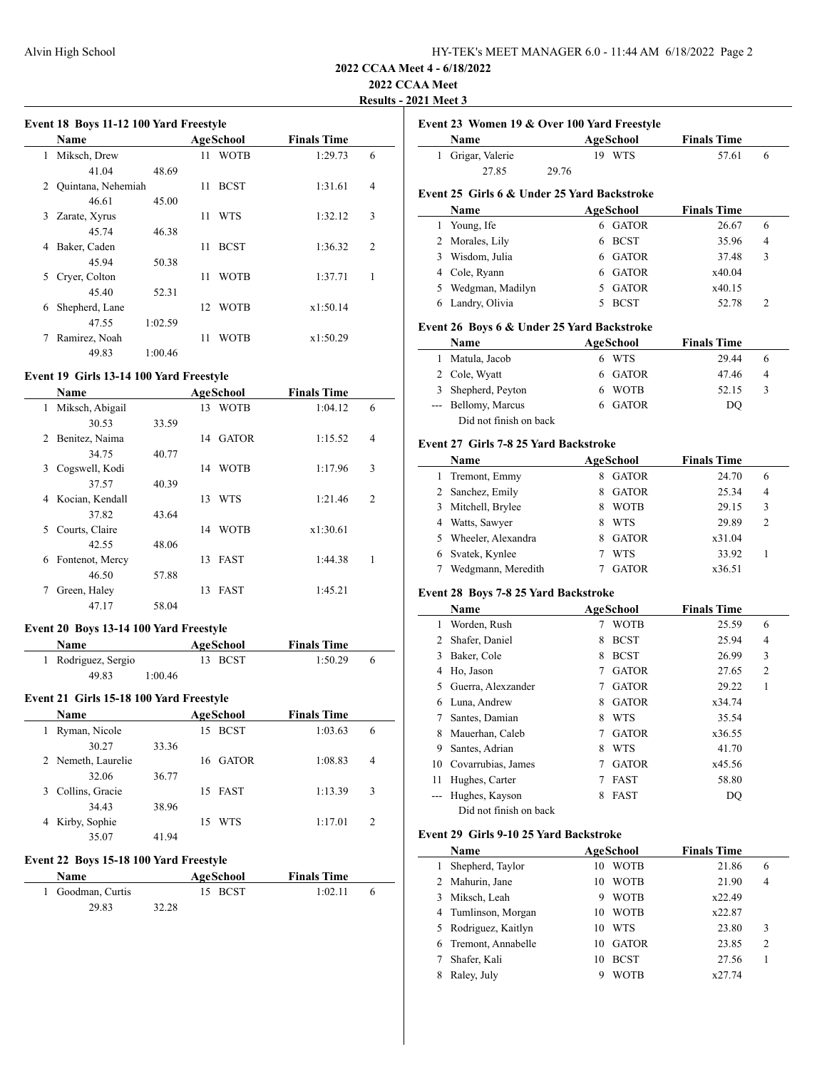# **2022 CCAA Meet**

**Results - 2021 Meet 3**

| Event 18 Boys 11-12 100 Yard Freestyle |  |  |  |
|----------------------------------------|--|--|--|
|                                        |  |  |  |

|   | <b>Name</b>        |         |    | AgeSchool   | <b>Finals Time</b> |                |
|---|--------------------|---------|----|-------------|--------------------|----------------|
| 1 | Miksch, Drew       |         | 11 | <b>WOTB</b> | 1:29.73            | 6              |
|   | 41.04              | 48.69   |    |             |                    |                |
| 2 | Quintana, Nehemiah |         | 11 | <b>BCST</b> | 1:31.61            | 4              |
|   | 46.61              | 45.00   |    |             |                    |                |
| 3 | Zarate, Xyrus      |         | 11 | <b>WTS</b>  | 1:32.12            | 3              |
|   | 45.74              | 46.38   |    |             |                    |                |
| 4 | Baker, Caden       |         | 11 | <b>BCST</b> | 1:36.32            | $\overline{2}$ |
|   | 45.94              | 50.38   |    |             |                    |                |
| 5 | Cryer, Colton      |         | 11 | <b>WOTB</b> | 1:37.71            | 1              |
|   | 45.40              | 52.31   |    |             |                    |                |
| 6 | Shepherd, Lane     |         | 12 | <b>WOTB</b> | x1:50.14           |                |
|   | 47.55              | 1:02.59 |    |             |                    |                |
|   | Ramirez, Noah      |         | 11 | WOTB        | x1:50.29           |                |
|   | 49.83              | 1:00.46 |    |             |                    |                |

## **Event 19 Girls 13-14 100 Yard Freestyle**

|   | <b>Name</b>     |       | AgeSchool |              | <b>Finals Time</b> |                |
|---|-----------------|-------|-----------|--------------|--------------------|----------------|
| 1 | Miksch, Abigail |       | 13        | <b>WOTB</b>  | 1:04.12            | 6              |
|   | 30.53           | 33.59 |           |              |                    |                |
| 2 | Benitez, Naima  |       | 14        | <b>GATOR</b> | 1:15.52            | $\overline{4}$ |
|   | 34.75           | 40.77 |           |              |                    |                |
| 3 | Cogswell, Kodi  |       | 14        | <b>WOTB</b>  | 1:17.96            | 3              |
|   | 37.57           | 40.39 |           |              |                    |                |
| 4 | Kocian, Kendall |       | 13        | WTS          | 1:21.46            | $\overline{2}$ |
|   | 37.82           | 43.64 |           |              |                    |                |
| 5 | Courts, Claire  |       | 14        | <b>WOTB</b>  | x1:30.61           |                |
|   | 42.55           | 48.06 |           |              |                    |                |
| 6 | Fontenot, Mercy |       | 13        | <b>FAST</b>  | 1:44.38            | 1              |
|   | 46.50           | 57.88 |           |              |                    |                |
| 7 | Green, Haley    |       | 13        | <b>FAST</b>  | 1:45.21            |                |
|   | 47.17           | 58.04 |           |              |                    |                |

## **Event 20 Boys 13-14 100 Yard Freestyle**

| Name                | AgeSchool | <b>Finals Time</b> |  |
|---------------------|-----------|--------------------|--|
| 1 Rodriguez, Sergio | 13 BCST   | 1:50.29            |  |
| 49.83               | 1:00.46   |                    |  |

### **Event 21 Girls 15-18 100 Yard Freestyle**

| <b>Name</b>          |       | AgeSchool         | <b>Finals Time</b> |                |
|----------------------|-------|-------------------|--------------------|----------------|
| Ryman, Nicole        |       | <b>BCST</b><br>15 | 1:03.63            | 6              |
| 30.27                | 33.36 |                   |                    |                |
| 2 Nemeth, Laurelie   |       | 16 GATOR          | 1:08.83            | $\overline{4}$ |
| 32.06                | 36.77 |                   |                    |                |
| Collins, Gracie<br>3 |       | 15 FAST           | 1:13.39            | 3              |
| 34.43                | 38.96 |                   |                    |                |
| Kirby, Sophie<br>4   |       | WTS<br>15         | 1:17.01            | 2              |
| 35.07                | 41.94 |                   |                    |                |

### **Event 22 Boys 15-18 100 Yard Freestyle**

| Name              |       | AgeSchool | <b>Finals Time</b> |  |
|-------------------|-------|-----------|--------------------|--|
| 1 Goodman, Curtis |       | 15 BCST   | 1:02.11            |  |
| 29.83             | 32.28 |           |                    |  |

|              | Name                                         | Event 23 Women 19 & Over 100 Yard Freestyle | <b>AgeSchool</b>    | <b>Finals Time</b> |                   |
|--------------|----------------------------------------------|---------------------------------------------|---------------------|--------------------|-------------------|
| 1            | Grigar, Valerie                              |                                             | 19 WTS              | 57.61              | 6                 |
|              | 27.85<br>29.76                               |                                             |                     |                    |                   |
|              |                                              |                                             |                     |                    |                   |
|              | Event 25 Girls 6 & Under 25 Yard Backstroke  |                                             |                     |                    |                   |
|              | Name                                         |                                             | <b>AgeSchool</b>    | <b>Finals Time</b> |                   |
|              | 1 Young, Ife                                 |                                             | 6 GATOR             | 26.67              | 6                 |
|              | 2 Morales, Lily                              |                                             | 6 BCST              | 35.96              | 4                 |
|              | 3 Wisdom, Julia                              |                                             | 6 GATOR             | 37.48              | 3                 |
|              | 4 Cole, Ryann                                |                                             | 6 GATOR             | x40.04             |                   |
|              | 5 Wedgman, Madilyn                           | 5                                           | <b>GATOR</b>        | x40.15             |                   |
|              | 6 Landry, Olivia                             |                                             | 5 BCST              | 52.78              | 2                 |
|              | Event 26 Boys 6 & Under 25 Yard Backstroke   |                                             |                     |                    |                   |
|              | Name                                         |                                             | <b>AgeSchool</b>    | <b>Finals Time</b> |                   |
|              | 1 Matula, Jacob                              |                                             | 6 WTS               | 29.44              | 6                 |
|              | 2 Cole, Wyatt                                |                                             | 6 GATOR             | 47.46              | 4                 |
|              | 3 Shepherd, Peyton                           |                                             | 6 WOTB              | 52.15              | 3                 |
|              | --- Bellomy, Marcus                          | 6                                           | <b>GATOR</b>        | DQ                 |                   |
|              | Did not finish on back                       |                                             |                     |                    |                   |
|              |                                              |                                             |                     |                    |                   |
|              | <b>Event 27 Girls 7-8 25 Yard Backstroke</b> |                                             |                     |                    |                   |
|              | Name                                         |                                             | <b>AgeSchool</b>    | <b>Finals Time</b> |                   |
|              | 1 Tremont, Emmy                              |                                             | 8 GATOR             | 24.70              | 6                 |
|              | 2 Sanchez, Emily                             | 8                                           | <b>GATOR</b>        | 25.34              | 4                 |
|              | 3 Mitchell, Brylee                           |                                             | 8 WOTB              | 29.15              | 3                 |
|              | 4 Watts, Sawyer                              |                                             | 8 WTS               | 29.89              | 2                 |
|              | 5 Wheeler, Alexandra                         | 8                                           | <b>GATOR</b>        | x31.04             |                   |
|              | 6 Svatek, Kynlee                             | 7                                           | <b>WTS</b>          | 33.92              | 1                 |
|              | 7 Wedgmann, Meredith                         |                                             | <b>GATOR</b>        |                    |                   |
|              |                                              | 7                                           |                     | x36.51             |                   |
|              |                                              |                                             |                     |                    |                   |
|              | Event 28 Boys 7-8 25 Yard Backstroke         |                                             |                     |                    |                   |
| 1            | Name                                         | 7                                           | AgeSchool           | <b>Finals Time</b> | 6                 |
|              | Worden, Rush                                 | 8                                           | WOTB<br><b>BCST</b> | 25.59              | 4                 |
|              | 2 Shafer, Daniel                             |                                             |                     | 25.94              |                   |
|              | 3 Baker, Cole                                |                                             | 8 BCST              | 26.99              | 3                 |
|              | 4 Ho, Jason<br>5 Guerra, Alexzander          | 7                                           | 7 GATOR             | 27.65              | 2<br>$\mathbf{1}$ |
|              |                                              |                                             | <b>GATOR</b>        | 29.22              |                   |
|              | 6 Luna, Andrew                               | 8                                           | <b>GATOR</b>        | x34.74             |                   |
| $7^{\circ}$  | Santes, Damian                               |                                             | 8 WTS               | 35.54              |                   |
| 8            | Mauerhan, Caleb                              | 7                                           | GATOR               | x36.55             |                   |
|              | 9 Santes, Adrian                             | 8                                           | <b>WTS</b>          | 41.70              |                   |
|              | 10 Covarrubias, James                        | 7                                           | <b>GATOR</b>        | x45.56             |                   |
| 11           | Hughes, Carter                               | 7                                           | <b>FAST</b>         | 58.80              |                   |
|              | --- Hughes, Kayson                           | 8                                           | FAST                | DQ                 |                   |
|              | Did not finish on back                       |                                             |                     |                    |                   |
|              | Event 29 Girls 9-10 25 Yard Backstroke       |                                             |                     |                    |                   |
|              | Name                                         |                                             | <b>AgeSchool</b>    | <b>Finals Time</b> |                   |
| $\mathbf{1}$ | Shepherd, Taylor                             |                                             | 10 WOTB             | 21.86              | 6                 |
|              | 2 Mahurin, Jane                              | 10                                          | <b>WOTB</b>         | 21.90              | 4                 |
|              | 3 Miksch, Leah                               | 9                                           | <b>WOTB</b>         | x22.49             |                   |
|              | 4 Tumlinson, Morgan                          | 10                                          | <b>WOTB</b>         | x22.87             |                   |
| 5            | Rodriguez, Kaitlyn                           | 10                                          | <b>WTS</b>          | 23.80              | 3                 |
| 6            | Tremont, Annabelle                           | 10                                          | <b>GATOR</b>        | 23.85              | 2                 |
| 7            | Shafer, Kali                                 | 10                                          | <b>BCST</b>         | 27.56              | 1                 |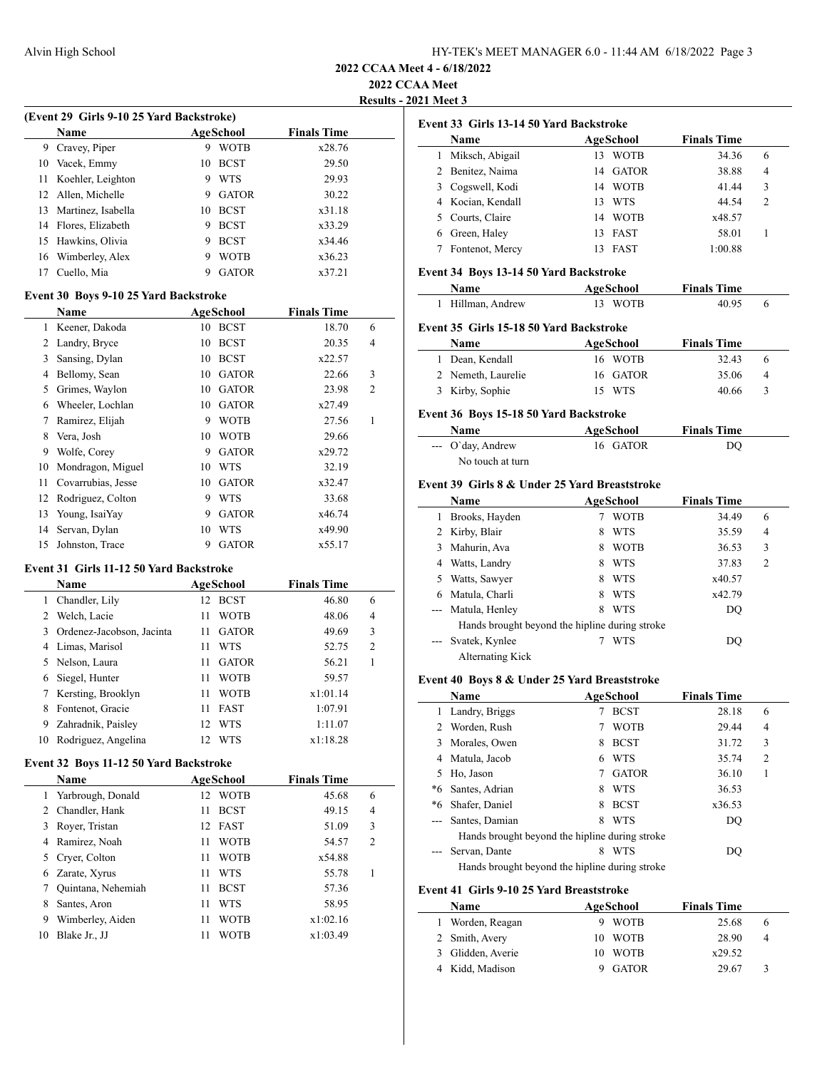### **2022 CCAA Meet**

**Results - 2021 Meet 3**

| (Event 29 Girls 9-10 25 Yard Backstroke) |    |              |                    |  |  |  |  |
|------------------------------------------|----|--------------|--------------------|--|--|--|--|
| <b>Name</b>                              |    |              | <b>Finals Time</b> |  |  |  |  |
| Cravey, Piper                            | 9  | <b>WOTB</b>  | x28.76             |  |  |  |  |
| 10 Vacek, Emmy                           | 10 | <b>BCST</b>  | 29.50              |  |  |  |  |
| Koehler, Leighton                        | 9  | <b>WTS</b>   | 29.93              |  |  |  |  |
| 12 Allen, Michelle                       | 9  | <b>GATOR</b> | 30.22              |  |  |  |  |
| Martinez, Isabella                       | 10 | <b>BCST</b>  | x31.18             |  |  |  |  |
| 14 Flores, Elizabeth                     | 9  | <b>BCST</b>  | x33.29             |  |  |  |  |
| Hawkins, Olivia<br>15.                   | 9  | <b>BCST</b>  | x34.46             |  |  |  |  |
| 16 Wimberley, Alex                       | 9  | <b>WOTB</b>  | x36.23             |  |  |  |  |
| Cuello, Mia                              |    | <b>GATOR</b> | x37.21             |  |  |  |  |
|                                          |    |              | AgeSchool          |  |  |  |  |

#### **Event 30 Boys 9-10 25 Yard Backstroke**

|    | Name               | <b>AgeSchool</b> |              | <b>Finals Time</b> |                |  |
|----|--------------------|------------------|--------------|--------------------|----------------|--|
| 1  | Keener, Dakoda     | 10               | <b>BCST</b>  | 18.70              | 6              |  |
| 2  | Landry, Bryce      | 10               | <b>BCST</b>  | 20.35              | 4              |  |
| 3  | Sansing, Dylan     | 10               | <b>BCST</b>  | x22.57             |                |  |
| 4  | Bellomy, Sean      | 10               | <b>GATOR</b> | 22.66              | 3              |  |
| 5  | Grimes, Waylon     | 10               | <b>GATOR</b> | 23.98              | $\overline{2}$ |  |
| 6  | Wheeler, Lochlan   | 10               | <b>GATOR</b> | x27.49             |                |  |
| 7  | Ramirez, Elijah    | 9                | <b>WOTB</b>  | 27.56              | 1              |  |
| 8  | Vera, Josh         | 10               | <b>WOTB</b>  | 29.66              |                |  |
| 9  | Wolfe, Corey       | 9                | <b>GATOR</b> | x29.72             |                |  |
| 10 | Mondragon, Miguel  | 10               | <b>WTS</b>   | 32.19              |                |  |
| 11 | Covarrubias, Jesse | 10               | <b>GATOR</b> | x32.47             |                |  |
| 12 | Rodriguez, Colton  | 9                | <b>WTS</b>   | 33.68              |                |  |
| 13 | Young, IsaiYay     | 9                | <b>GATOR</b> | x46.74             |                |  |
| 14 | Servan, Dylan      | 10               | WTS          | x49.90             |                |  |
| 15 | Johnston, Trace    | 9                | <b>GATOR</b> | x55.17             |                |  |

#### **Event 31 Girls 11-12 50 Yard Backstroke**

 $\overline{a}$ 

|    | <b>Name</b>               | AgeSchool          | <b>Finals Time</b> |                |
|----|---------------------------|--------------------|--------------------|----------------|
| 1  | Chandler, Lily            | <b>BCST</b><br>12  | 46.80              | 6              |
|    | Welch, Lacie              | <b>WOTB</b><br>11  | 48.06              | 4              |
|    | Ordenez-Jacobson, Jacinta | <b>GATOR</b><br>11 | 49.69              | 3              |
| 4  | Limas, Marisol            | WTS<br>11          | 52.75              | $\overline{2}$ |
|    | 5 Nelson, Laura           | <b>GATOR</b><br>11 | 56.21              |                |
| 6  | Siegel, Hunter            | <b>WOTB</b><br>11  | 59.57              |                |
|    | Kersting, Brooklyn        | <b>WOTB</b><br>11  | x1:01.14           |                |
| 8  | Fontenot, Gracie          | <b>FAST</b><br>11  | 1:07.91            |                |
| 9  | Zahradnik, Paisley        | WTS<br>12          | 1:11.07            |                |
| 10 | Rodriguez, Angelina       | WTS<br>12          | x1:18.28           |                |

### **Event 32 Boys 11-12 50 Yard Backstroke**

|                | <b>Name</b>         | AgeSchool         | <b>Finals Time</b> |                |
|----------------|---------------------|-------------------|--------------------|----------------|
|                | 1 Yarbrough, Donald | <b>WOTB</b><br>12 | 45.68              | 6              |
| $\mathfrak{D}$ | Chandler, Hank      | <b>BCST</b><br>11 | 49.15              | 4              |
| 3              | Royer, Tristan      | 12 FAST           | 51.09              | 3              |
| 4              | Ramirez, Noah       | <b>WOTB</b><br>11 | 54.57              | $\overline{2}$ |
| 5              | Cryer, Colton       | <b>WOTB</b><br>11 | x54.88             |                |
| 6              | Zarate, Xyrus       | WTS<br>11         | 55.78              |                |
|                | Quintana, Nehemiah  | <b>BCST</b><br>11 | 57.36              |                |
| 8              | Santes, Aron        | WTS<br>11         | 58.95              |                |
| 9              | Wimberley, Aiden    | <b>WOTB</b><br>11 | x1:02.16           |                |
| 10             | Blake Jr., JJ       | WOTB              | x1:03.49           |                |

|   | Event 33 Girls 13-14 50 Yard Backstroke |    |                  |                    |                |  |  |
|---|-----------------------------------------|----|------------------|--------------------|----------------|--|--|
|   | <b>Name</b>                             |    | <b>AgeSchool</b> | <b>Finals Time</b> |                |  |  |
|   | Miksch, Abigail                         | 13 | <b>WOTB</b>      | 34.36              | 6              |  |  |
|   | 2 Benitez, Naima                        | 14 | GATOR            | 38.88              | 4              |  |  |
|   | 3 Cogswell, Kodi                        | 14 | <b>WOTB</b>      | 41.44              | 3              |  |  |
|   | 4 Kocian, Kendall                       | 13 | <b>WTS</b>       | 44.54              | $\overline{2}$ |  |  |
|   | 5 Courts, Claire                        | 14 | <b>WOTB</b>      | x48.57             |                |  |  |
| 6 | Green, Haley                            | 13 | <b>FAST</b>      | 58.01              |                |  |  |
|   | Fontenot, Mercy                         |    | <b>FAST</b>      | 1:00.88            |                |  |  |

### **Event 34 Boys 13-14 50 Yard Backstroke**

| <b>Name</b>      | AgeSchool | <b>Finals Time</b> |  |
|------------------|-----------|--------------------|--|
| 1 Hillman Andrew | 13 WOTR   | 40.95              |  |

## **Event 35 Girls 15-18 50 Yard Backstroke**

| <b>Name</b>        | AgeSchool | <b>Finals Time</b> |               |
|--------------------|-----------|--------------------|---------------|
| 1 Dean, Kendall    | 16 WOTB   | 32.43              | h             |
| 2 Nemeth, Laurelie | 16 GATOR  | 35.06              | -4            |
| 3 Kirby, Sophie    | 15 WTS    | 40.66              | $\mathcal{R}$ |

### **Event 36 Boys 15-18 50 Yard Backstroke**

| Name                       | AgeSchool | <b>Finals Time</b> |  |
|----------------------------|-----------|--------------------|--|
| $\leftarrow$ O'day, Andrew | 16 GATOR  | DO                 |  |
| No touch at turn           |           |                    |  |

### **Event 39 Girls 8 & Under 25 Yard Breaststroke**

|                     | Name                                           |   | AgeSchool   | <b>Finals Time</b> |                |  |
|---------------------|------------------------------------------------|---|-------------|--------------------|----------------|--|
|                     | Brooks, Hayden                                 |   | <b>WOTB</b> | 34.49              | 6              |  |
|                     | 2 Kirby, Blair                                 | 8 | <b>WTS</b>  | 35.59              | 4              |  |
| 3                   | Mahurin, Ava                                   | 8 | <b>WOTB</b> | 36.53              | 3              |  |
| 4                   | Watts, Landry                                  | 8 | <b>WTS</b>  | 37.83              | $\overline{2}$ |  |
| 5.                  | Watts, Sawyer                                  | 8 | <b>WTS</b>  | x40.57             |                |  |
| 6                   | Matula, Charli                                 | 8 | <b>WTS</b>  | x42.79             |                |  |
|                     | --- Matula, Henley                             | 8 | <b>WTS</b>  | DQ                 |                |  |
|                     | Hands brought beyond the hipline during stroke |   |             |                    |                |  |
| $\qquad \qquad - -$ | Svatek, Kynlee                                 |   | WTS         | DO                 |                |  |
|                     | Alternating Kick                               |   |             |                    |                |  |

#### **Event 40 Boys 8 & Under 25 Yard Breaststroke**

|                                                | Name                                           |   | AgeSchool    | <b>Finals Time</b> |                |  |
|------------------------------------------------|------------------------------------------------|---|--------------|--------------------|----------------|--|
| 1.                                             | Landry, Briggs                                 |   | <b>BCST</b>  | 28.18              | 6              |  |
|                                                | 2 Worden, Rush                                 |   | <b>WOTB</b>  | 29.44              | 4              |  |
| 3                                              | Morales, Owen                                  | 8 | <b>BCST</b>  | 31.72              | 3              |  |
| 4                                              | Matula, Jacob                                  | 6 | <b>WTS</b>   | 35.74              | $\overline{c}$ |  |
| 5.                                             | Ho, Jason                                      |   | <b>GATOR</b> | 36.10              | 1              |  |
| *6                                             | Santes, Adrian                                 | 8 | <b>WTS</b>   | 36.53              |                |  |
| *6                                             | Shafer, Daniel                                 | 8 | <b>BCST</b>  | x36.53             |                |  |
|                                                | Santes, Damian                                 | 8 | <b>WTS</b>   | DO                 |                |  |
|                                                | Hands brought beyond the hipline during stroke |   |              |                    |                |  |
|                                                | Servan, Dante                                  | 8 | <b>WTS</b>   | DO                 |                |  |
| Hands brought beyond the hipline during stroke |                                                |   |              |                    |                |  |

## **Event 41 Girls 9-10 25 Yard Breaststroke**

| <b>Name</b>       | AgeSchool |              | <b>Finals Time</b> |          |
|-------------------|-----------|--------------|--------------------|----------|
| Worden, Reagan    |           | <b>WOTB</b>  | 25.68              | $\theta$ |
| 2 Smith, Avery    | 10        | <b>WOTB</b>  | 28.90              |          |
| 3 Glidden, Averie | 10        | <b>WOTB</b>  | x29.52             |          |
| Kidd. Madison     |           | <b>GATOR</b> | 29.67              |          |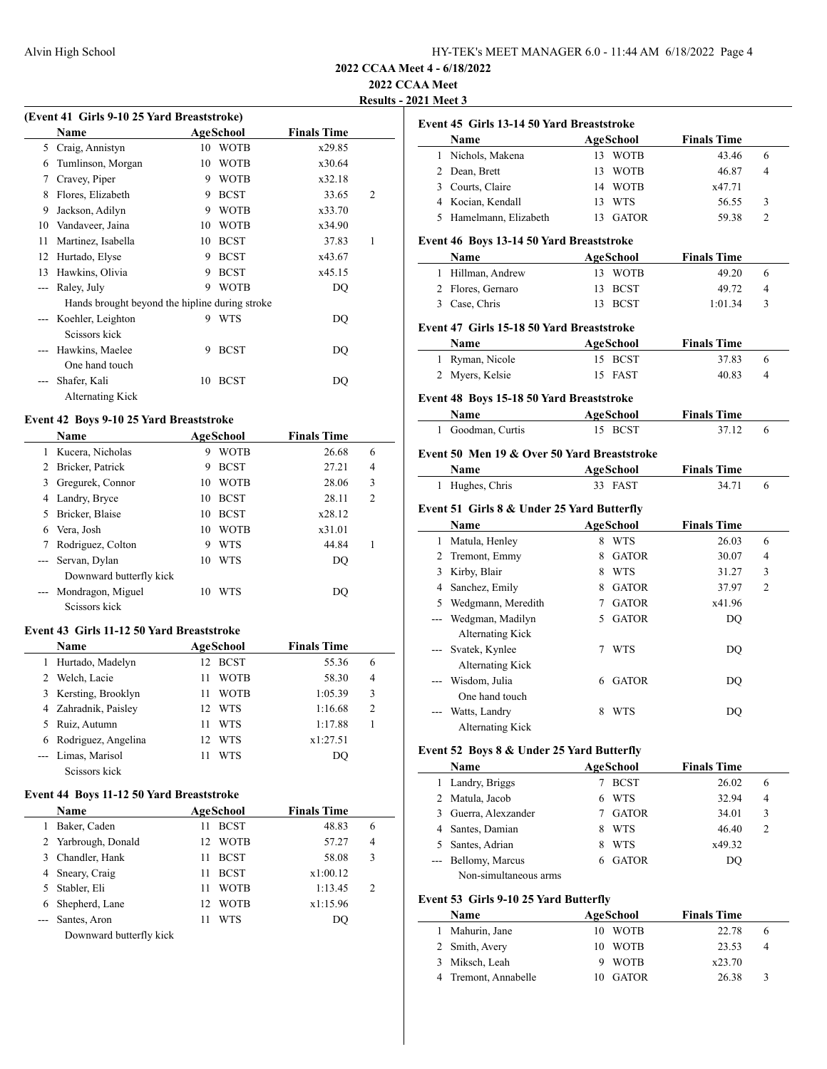## **2022 CCAA Meet**

 $\frac{1}{2}$ 

**Results - 2021 Meet 3**

|    | (Event 41 Girls 9-10 25 Yard Breaststroke)     |    |             |                    |                |
|----|------------------------------------------------|----|-------------|--------------------|----------------|
|    | <b>Name</b>                                    |    | AgeSchool   | <b>Finals Time</b> |                |
| 5  | Craig, Annistyn                                | 10 | <b>WOTB</b> | x29.85             |                |
| 6  | Tumlinson, Morgan                              | 10 | <b>WOTB</b> | x30.64             |                |
| 7  | Cravey, Piper                                  | 9  | <b>WOTB</b> | x32.18             |                |
| 8  | Flores, Elizabeth                              | 9  | <b>BCST</b> | 33.65              | $\mathfrak{D}$ |
| 9  | Jackson, Adilyn                                | 9  | <b>WOTB</b> | x33.70             |                |
| 10 | Vandaveer, Jaina                               | 10 | <b>WOTB</b> | x34.90             |                |
| 11 | Martinez, Isabella                             | 10 | <b>BCST</b> | 37.83              | 1              |
| 12 | Hurtado, Elyse                                 | 9  | <b>BCST</b> | x43.67             |                |
| 13 | Hawkins, Olivia                                | 9  | <b>BCST</b> | x45.15             |                |
|    | Raley, July                                    | 9  | <b>WOTB</b> | DQ                 |                |
|    | Hands brought beyond the hipline during stroke |    |             |                    |                |
|    | Koehler, Leighton                              | 9  | <b>WTS</b>  | DQ                 |                |
|    | Scissors kick                                  |    |             |                    |                |
|    | Hawkins, Maelee                                | 9  | <b>BCST</b> | DO                 |                |
|    | One hand touch                                 |    |             |                    |                |
|    | Shafer, Kali                                   | 10 | <b>BCST</b> | DQ                 |                |
|    | Alternating Kick                               |    |             |                    |                |
|    | Event 42 Boys 9-10 25 Yard Breaststroke        |    |             |                    |                |

#### **Event 42 Boys 9-10 25 Yard Breaststroke**

|   | <b>Name</b>             |    | AgeSchool   | <b>Finals Time</b> |                |
|---|-------------------------|----|-------------|--------------------|----------------|
|   | Kucera, Nicholas        | 9  | <b>WOTB</b> | 26.68              | 6              |
| 2 | Bricker, Patrick        | 9  | <b>BCST</b> | 27.21              | $\overline{4}$ |
| 3 | Gregurek, Connor        | 10 | <b>WOTB</b> | 28.06              | 3              |
| 4 | Landry, Bryce           | 10 | <b>BCST</b> | 28.11              | $\overline{c}$ |
| 5 | Bricker, Blaise         | 10 | <b>BCST</b> | x28.12             |                |
| 6 | Vera, Josh              | 10 | <b>WOTB</b> | x31.01             |                |
|   | Rodriguez, Colton       | 9  | WTS         | 44.84              |                |
|   | --- Servan, Dylan       | 10 | WTS         | DO                 |                |
|   | Downward butterfly kick |    |             |                    |                |
|   | Mondragon, Miguel       | 10 | WTS         | DO                 |                |
|   | Seissors kick           |    |             |                    |                |

## **Event 43 Girls 11-12 50 Yard Breaststroke**

|    | <b>Name</b>           |     | AgeSchool   | <b>Finals Time</b> |                |  |
|----|-----------------------|-----|-------------|--------------------|----------------|--|
| 1. | Hurtado, Madelyn      | 12  | <b>BCST</b> | 55.36              | 6              |  |
|    | 2 Welch, Lacie        |     | <b>WOTB</b> | 58.30              | 4              |  |
|    | 3 Kersting, Brooklyn  |     | <b>WOTB</b> | 1:05.39            | 3              |  |
|    | 4 Zahradnik, Paisley  | 12. | <b>WTS</b>  | 1:16.68            | $\overline{c}$ |  |
|    | 5 Ruiz, Autumn        |     | <b>WTS</b>  | 1:17.88            |                |  |
|    | 6 Rodriguez, Angelina | 12  | <b>WTS</b>  | x1:27.51           |                |  |
|    | --- Limas, Marisol    |     | WTS         | DO                 |                |  |
|    | Seissors kick         |     |             |                    |                |  |

## **Event 44 Boys 11-12 50 Yard Breaststroke**

| <b>Name</b> |                     | AgeSchool          | <b>Finals Time</b> |                |
|-------------|---------------------|--------------------|--------------------|----------------|
|             | Baker, Caden        | <b>BCST</b><br>11  | 48.83              | 6              |
|             | 2 Yarbrough, Donald | <b>WOTB</b><br>12. | 57.27              | $\overline{4}$ |
|             | 3 Chandler, Hank    | <b>BCST</b><br>11  | 58.08              | 3              |
|             | 4 Sneary, Craig     | <b>BCST</b><br>11  | x1:00.12           |                |
|             | 5 Stabler, Eli      | <b>WOTB</b><br>11  | 1:13.45            | 2              |
|             | 6 Shepherd, Lane    | <b>WOTB</b><br>12. | x1:15.96           |                |
|             | Santes, Aron        | WTS<br>11          | DO                 |                |
|             |                     |                    |                    |                |

Downward butterfly kick

| Event 45 Girls 13-14 50 Yard Breaststroke         |                                                                                                                                                                                                                                                                                                  |              |                                                                                                                                                                                                                                                                                                                                                                                                                                                                                                    |                                                                                                                      |
|---------------------------------------------------|--------------------------------------------------------------------------------------------------------------------------------------------------------------------------------------------------------------------------------------------------------------------------------------------------|--------------|----------------------------------------------------------------------------------------------------------------------------------------------------------------------------------------------------------------------------------------------------------------------------------------------------------------------------------------------------------------------------------------------------------------------------------------------------------------------------------------------------|----------------------------------------------------------------------------------------------------------------------|
| Name                                              |                                                                                                                                                                                                                                                                                                  | AgeSchool    | <b>Finals Time</b>                                                                                                                                                                                                                                                                                                                                                                                                                                                                                 |                                                                                                                      |
| Nichols, Makena                                   |                                                                                                                                                                                                                                                                                                  |              | 43.46                                                                                                                                                                                                                                                                                                                                                                                                                                                                                              | 6                                                                                                                    |
| 2 Dean, Brett                                     | 13                                                                                                                                                                                                                                                                                               |              | 46.87                                                                                                                                                                                                                                                                                                                                                                                                                                                                                              | 4                                                                                                                    |
| 3 Courts, Claire                                  |                                                                                                                                                                                                                                                                                                  |              | x47.71                                                                                                                                                                                                                                                                                                                                                                                                                                                                                             |                                                                                                                      |
| 4 Kocian, Kendall                                 |                                                                                                                                                                                                                                                                                                  |              | 56.55                                                                                                                                                                                                                                                                                                                                                                                                                                                                                              | 3                                                                                                                    |
| 5 Hamelmann, Elizabeth                            |                                                                                                                                                                                                                                                                                                  |              | 59.38                                                                                                                                                                                                                                                                                                                                                                                                                                                                                              | 2                                                                                                                    |
|                                                   |                                                                                                                                                                                                                                                                                                  |              |                                                                                                                                                                                                                                                                                                                                                                                                                                                                                                    |                                                                                                                      |
|                                                   |                                                                                                                                                                                                                                                                                                  |              |                                                                                                                                                                                                                                                                                                                                                                                                                                                                                                    |                                                                                                                      |
|                                                   |                                                                                                                                                                                                                                                                                                  |              |                                                                                                                                                                                                                                                                                                                                                                                                                                                                                                    | 6                                                                                                                    |
|                                                   |                                                                                                                                                                                                                                                                                                  |              |                                                                                                                                                                                                                                                                                                                                                                                                                                                                                                    | 4                                                                                                                    |
|                                                   | 13                                                                                                                                                                                                                                                                                               |              | 1:01.34                                                                                                                                                                                                                                                                                                                                                                                                                                                                                            | 3                                                                                                                    |
|                                                   |                                                                                                                                                                                                                                                                                                  |              |                                                                                                                                                                                                                                                                                                                                                                                                                                                                                                    |                                                                                                                      |
|                                                   |                                                                                                                                                                                                                                                                                                  |              |                                                                                                                                                                                                                                                                                                                                                                                                                                                                                                    |                                                                                                                      |
|                                                   |                                                                                                                                                                                                                                                                                                  |              |                                                                                                                                                                                                                                                                                                                                                                                                                                                                                                    | 6                                                                                                                    |
|                                                   |                                                                                                                                                                                                                                                                                                  |              |                                                                                                                                                                                                                                                                                                                                                                                                                                                                                                    | 4                                                                                                                    |
|                                                   |                                                                                                                                                                                                                                                                                                  |              |                                                                                                                                                                                                                                                                                                                                                                                                                                                                                                    |                                                                                                                      |
|                                                   |                                                                                                                                                                                                                                                                                                  |              |                                                                                                                                                                                                                                                                                                                                                                                                                                                                                                    |                                                                                                                      |
| Name                                              |                                                                                                                                                                                                                                                                                                  |              | <b>Finals Time</b>                                                                                                                                                                                                                                                                                                                                                                                                                                                                                 |                                                                                                                      |
| 1 Goodman, Curtis                                 |                                                                                                                                                                                                                                                                                                  |              | 37.12                                                                                                                                                                                                                                                                                                                                                                                                                                                                                              | 6                                                                                                                    |
|                                                   |                                                                                                                                                                                                                                                                                                  |              |                                                                                                                                                                                                                                                                                                                                                                                                                                                                                                    |                                                                                                                      |
|                                                   |                                                                                                                                                                                                                                                                                                  |              |                                                                                                                                                                                                                                                                                                                                                                                                                                                                                                    |                                                                                                                      |
|                                                   |                                                                                                                                                                                                                                                                                                  |              |                                                                                                                                                                                                                                                                                                                                                                                                                                                                                                    | 6                                                                                                                    |
|                                                   |                                                                                                                                                                                                                                                                                                  |              |                                                                                                                                                                                                                                                                                                                                                                                                                                                                                                    |                                                                                                                      |
|                                                   |                                                                                                                                                                                                                                                                                                  |              |                                                                                                                                                                                                                                                                                                                                                                                                                                                                                                    |                                                                                                                      |
| Name                                              |                                                                                                                                                                                                                                                                                                  |              | <b>Finals Time</b>                                                                                                                                                                                                                                                                                                                                                                                                                                                                                 |                                                                                                                      |
|                                                   |                                                                                                                                                                                                                                                                                                  |              |                                                                                                                                                                                                                                                                                                                                                                                                                                                                                                    | 6                                                                                                                    |
|                                                   |                                                                                                                                                                                                                                                                                                  |              | 30.07                                                                                                                                                                                                                                                                                                                                                                                                                                                                                              | 4                                                                                                                    |
|                                                   |                                                                                                                                                                                                                                                                                                  |              | 31.27                                                                                                                                                                                                                                                                                                                                                                                                                                                                                              | 3                                                                                                                    |
|                                                   |                                                                                                                                                                                                                                                                                                  |              | 37.97                                                                                                                                                                                                                                                                                                                                                                                                                                                                                              | $\overline{c}$                                                                                                       |
|                                                   |                                                                                                                                                                                                                                                                                                  |              | x41.96                                                                                                                                                                                                                                                                                                                                                                                                                                                                                             |                                                                                                                      |
|                                                   | 5                                                                                                                                                                                                                                                                                                | <b>GATOR</b> | DQ                                                                                                                                                                                                                                                                                                                                                                                                                                                                                                 |                                                                                                                      |
|                                                   |                                                                                                                                                                                                                                                                                                  |              |                                                                                                                                                                                                                                                                                                                                                                                                                                                                                                    |                                                                                                                      |
|                                                   |                                                                                                                                                                                                                                                                                                  | <b>WTS</b>   |                                                                                                                                                                                                                                                                                                                                                                                                                                                                                                    |                                                                                                                      |
| Svatek, Kynlee<br>$---$                           | 7                                                                                                                                                                                                                                                                                                |              | DQ                                                                                                                                                                                                                                                                                                                                                                                                                                                                                                 |                                                                                                                      |
| <b>Alternating Kick</b>                           |                                                                                                                                                                                                                                                                                                  |              |                                                                                                                                                                                                                                                                                                                                                                                                                                                                                                    |                                                                                                                      |
| --- Wisdom, Julia                                 |                                                                                                                                                                                                                                                                                                  | 6 GATOR      | DQ                                                                                                                                                                                                                                                                                                                                                                                                                                                                                                 |                                                                                                                      |
| One hand touch                                    |                                                                                                                                                                                                                                                                                                  |              |                                                                                                                                                                                                                                                                                                                                                                                                                                                                                                    |                                                                                                                      |
| Watts, Landry                                     | 8.                                                                                                                                                                                                                                                                                               | WTS          | DQ                                                                                                                                                                                                                                                                                                                                                                                                                                                                                                 |                                                                                                                      |
| <b>Alternating Kick</b>                           |                                                                                                                                                                                                                                                                                                  |              |                                                                                                                                                                                                                                                                                                                                                                                                                                                                                                    |                                                                                                                      |
|                                                   |                                                                                                                                                                                                                                                                                                  |              |                                                                                                                                                                                                                                                                                                                                                                                                                                                                                                    |                                                                                                                      |
| Event 52 Boys 8 & Under 25 Yard Butterfly<br>Name |                                                                                                                                                                                                                                                                                                  | AgeSchool    | <b>Finals Time</b>                                                                                                                                                                                                                                                                                                                                                                                                                                                                                 |                                                                                                                      |
| 1 Landry, Briggs                                  |                                                                                                                                                                                                                                                                                                  | 7 BCST       | 26.02                                                                                                                                                                                                                                                                                                                                                                                                                                                                                              | 6                                                                                                                    |
| 2 Matula, Jacob                                   |                                                                                                                                                                                                                                                                                                  | 6 WTS        | 32.94                                                                                                                                                                                                                                                                                                                                                                                                                                                                                              | 4                                                                                                                    |
| 3 Guerra, Alexzander                              |                                                                                                                                                                                                                                                                                                  | 7 GATOR      | 34.01                                                                                                                                                                                                                                                                                                                                                                                                                                                                                              | 3                                                                                                                    |
| 4 Santes, Damian                                  |                                                                                                                                                                                                                                                                                                  | 8 WTS        | 46.40                                                                                                                                                                                                                                                                                                                                                                                                                                                                                              | 2                                                                                                                    |
| 5 Santes, Adrian                                  |                                                                                                                                                                                                                                                                                                  | 8 WTS        | x49.32                                                                                                                                                                                                                                                                                                                                                                                                                                                                                             |                                                                                                                      |
|                                                   |                                                                                                                                                                                                                                                                                                  | 6 GATOR      | DQ                                                                                                                                                                                                                                                                                                                                                                                                                                                                                                 |                                                                                                                      |
| --- Bellomy, Marcus<br>Non-simultaneous arms      |                                                                                                                                                                                                                                                                                                  |              |                                                                                                                                                                                                                                                                                                                                                                                                                                                                                                    |                                                                                                                      |
|                                                   | Name<br>1 Hillman, Andrew<br>2 Flores, Gernaro<br>3 Case, Chris<br>Name<br>1 Ryman, Nicole<br>2 Myers, Kelsie<br>Name<br>1 Hughes, Chris<br>1 Matula, Henley<br>2 Tremont, Emmy<br>3 Kirby, Blair<br>4 Sanchez, Emily<br>5 Wedgmann, Meredith<br>--- Wedgman, Madilyn<br><b>Alternating Kick</b> | 13           | 13 WOTB<br>WOTB<br>14 WOTB<br>13 WTS<br>13 GATOR<br>Event 46 Boys 13-14 50 Yard Breaststroke<br>AgeSchool<br>13 WOTB<br><b>BCST</b><br><b>BCST</b><br>Event 47 Girls 15-18 50 Yard Breaststroke<br>AgeSchool<br>15 BCST<br>15 FAST<br>Event 48 Boys 15-18 50 Yard Breaststroke<br><b>AgeSchool</b><br>15 BCST<br>Event 50 Men 19 & Over 50 Yard Breaststroke<br>AgeSchool<br>33 FAST<br>Event 51 Girls 8 & Under 25 Yard Butterfly<br>AgeSchool<br>8 WTS<br>8 GATOR<br>8 WTS<br>8 GATOR<br>7 GATOR | <b>Finals Time</b><br>49.20<br>49.72<br><b>Finals Time</b><br>37.83<br>40.83<br><b>Finals Time</b><br>34.71<br>26.03 |

| Name                 | AgeSchool | <b>Finals Time</b> |          |  |
|----------------------|-----------|--------------------|----------|--|
| Mahurin, Jane        | 10 WOTB   | 22.78              | $\theta$ |  |
| 2 Smith, Avery       | 10 WOTB   | 23.53              | 4        |  |
| 3 Miksch, Leah       | 9 WOTB    | x23.70             |          |  |
| 4 Tremont, Annabelle | 10 GATOR  | 26.38              | 3        |  |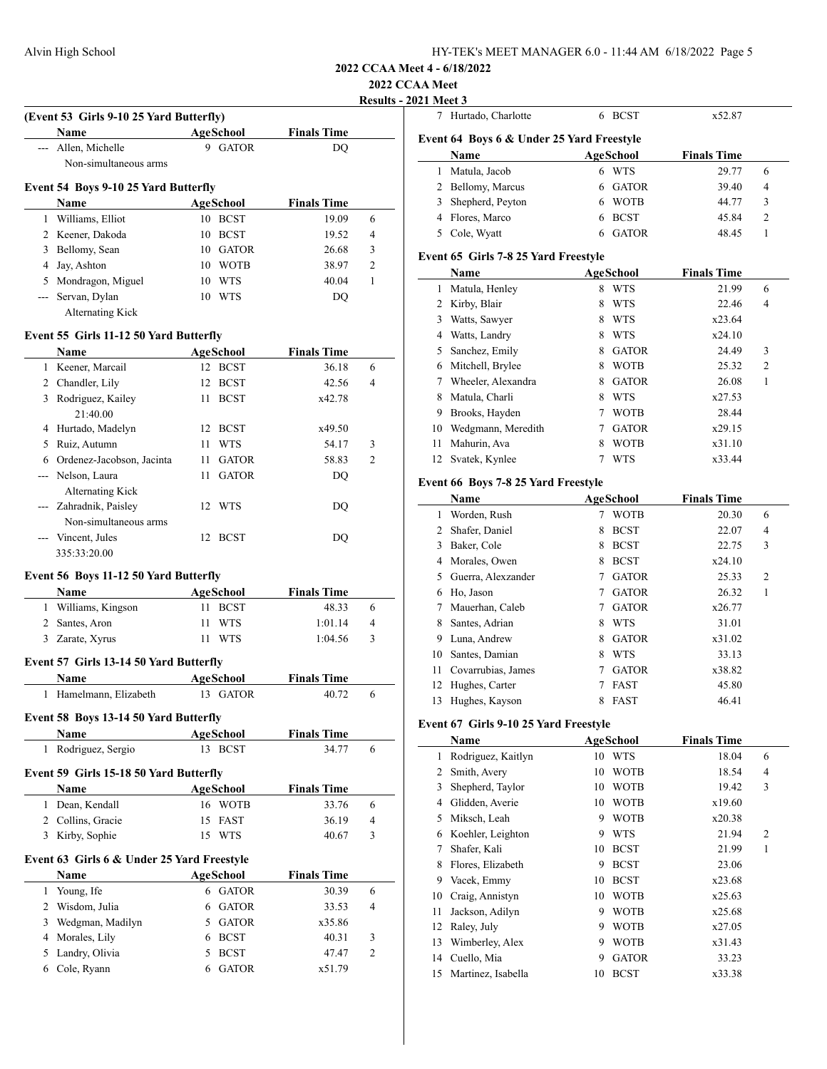| HY-TEK's MEET MANAGER 6.0 - 11:44 AM 6/18/2022 Page 5 |  |  |
|-------------------------------------------------------|--|--|
|-------------------------------------------------------|--|--|

**2022 CCAA Meet**

**Results** - 2021 Meet 3

|   |                                                    |                      |                    | ZUZZ<br><b>Results</b> |
|---|----------------------------------------------------|----------------------|--------------------|------------------------|
|   | (Event 53 Girls 9-10 25 Yard Butterfly)            |                      |                    |                        |
|   | Name                                               | AgeSchool            | <b>Finals Time</b> |                        |
|   | --- Allen, Michelle                                | 9 GATOR              | DO                 |                        |
|   | Non-simultaneous arms                              |                      |                    |                        |
|   | Event 54 Boys 9-10 25 Yard Butterfly               |                      |                    |                        |
|   | Name                                               | AgeSchool            | <b>Finals Time</b> |                        |
|   | 1 Williams, Elliot                                 | 10 BCST              | 19.09              | 6                      |
|   | 2 Keener, Dakoda                                   | 10 BCST              | 19.52              | 4                      |
|   | 3 Bellomy, Sean                                    | 10 GATOR             | 26.68              | 3                      |
|   | 4 Jay, Ashton                                      | 10 WOTB              | 38.97              | 2                      |
|   | 5 Mondragon, Miguel                                | 10 WTS               | 40.04              | 1                      |
|   | --- Servan, Dylan                                  | 10 WTS               | DQ                 |                        |
|   | Alternating Kick                                   |                      |                    |                        |
|   | Event 55 Girls 11-12 50 Yard Butterfly             |                      |                    |                        |
|   | Name                                               | <b>AgeSchool</b>     | <b>Finals Time</b> |                        |
|   | 1 Keener, Marcail                                  | 12 BCST              | 36.18              | 6                      |
|   | 2 Chandler, Lily                                   | 12 BCST              | 42.56              | 4                      |
|   | 3 Rodriguez, Kailey                                | 11 BCST              | x42.78             |                        |
|   | 21:40.00                                           |                      |                    |                        |
|   | 4 Hurtado, Madelyn                                 | 12 BCST              | x49.50             |                        |
|   | 5 Ruiz, Autumn                                     | 11 -<br><b>WTS</b>   | 54.17              | 3                      |
|   | 6 Ordenez-Jacobson, Jacinta                        | <b>GATOR</b><br>11 - | 58.83              | 2                      |
|   | --- Nelson, Laura                                  | <b>GATOR</b><br>11   | DQ                 |                        |
|   | Alternating Kick                                   |                      |                    |                        |
|   | --- Zahradnik, Paisley                             | 12<br>WTS            | DQ                 |                        |
|   | Non-simultaneous arms                              |                      |                    |                        |
|   | --- Vincent, Jules                                 | 12 BCST              | DQ                 |                        |
|   | 335:33:20.00                                       |                      |                    |                        |
|   | Event 56 Boys 11-12 50 Yard Butterfly              |                      |                    |                        |
|   | Name                                               | <b>AgeSchool</b>     | <b>Finals Time</b> |                        |
|   | 1 Williams, Kingson                                | 11 BCST              | 48.33              | 6                      |
|   | 2 Santes, Aron                                     | 11 -<br><b>WTS</b>   | 1:01.14            | 4                      |
|   | 3 Zarate, Xyrus                                    | 11 WTS               | 1:04.56            | 3                      |
|   | Event 57 Girls 13-14 50 Yard Butterfly             |                      |                    |                        |
|   | Name                                               | AgeSchool            | <b>Finals Time</b> |                        |
| 1 | Hamelmann, Elizabeth                               | 13 GATOR             | 40.72              | 6                      |
|   | Event 58 Boys 13-14 50 Yard Butterfly              |                      |                    |                        |
|   | <b>Name</b>                                        | <b>AgeSchool</b>     | <b>Finals Time</b> |                        |
|   | 1 Rodriguez, Sergio                                | 13 BCST              | 34.77              | 6                      |
|   |                                                    |                      |                    |                        |
|   | Event 59 Girls 15-18 50 Yard Butterfly<br>Name     | <b>AgeSchool</b>     | <b>Finals Time</b> |                        |
| 1 | Dean, Kendall                                      | 16 WOTB              | 33.76              | 6                      |
|   | 2 Collins, Gracie                                  | 15 FAST              | 36.19              | 4                      |
|   | 3 Kirby, Sophie                                    | 15 WTS               | 40.67              | 3                      |
|   |                                                    |                      |                    |                        |
|   | Event 63 Girls 6 & Under 25 Yard Freestyle<br>Name | <b>AgeSchool</b>     | <b>Finals Time</b> |                        |
|   | 1 Young, Ife                                       | 6 GATOR              | 30.39              | 6                      |
|   | 2 Wisdom, Julia                                    | <b>GATOR</b><br>6    | 33.53              | 4                      |
|   | 3 Wedgman, Madilyn                                 | 5 GATOR              | x35.86             |                        |
|   | 4 Morales, Lily                                    | 6 BCST               | 40.31              | 3                      |
| 5 | Landry, Olivia                                     | <b>BCST</b><br>5     | 47.47              | 2                      |
|   |                                                    |                      |                    |                        |
| 6 | Cole, Ryann                                        | 6 GATOR              | x51.79             |                        |

| Event 64 Boys 6 & Under 25 Yard Freestyle<br><b>AgeSchool</b><br><b>Finals Time</b><br>Name<br>Matula, Jacob<br>6 WTS<br>29.77<br>6<br>$\mathbf{1}$<br>2 Bellomy, Marcus<br><b>GATOR</b><br>39.40<br>4<br>6<br>3 Shepherd, Peyton<br>6 WOTB<br>44.77<br>3<br>$\overline{c}$<br>4 Flores, Marco<br>6 BCST<br>45.84<br>5 Cole, Wyatt<br><b>GATOR</b><br>48.45<br>1<br>6<br>Event 65 Girls 7-8 25 Yard Freestyle<br>Name<br><b>AgeSchool</b><br><b>Finals Time</b><br>Matula, Henley<br>8 WTS<br>21.99<br>6<br>1<br>2 Kirby, Blair<br>22.46<br>4<br><b>WTS</b><br>8.<br>3 Watts, Sawyer<br>x23.64<br>8 WTS<br>4 Watts, Landry<br>x24.10<br>8 WTS<br>Sanchez, Emily<br>24.49<br>3<br>5<br><b>GATOR</b><br>8<br>6 Mitchell, Brylee<br>8 WOTB<br>25.32<br>2<br>Wheeler, Alexandra<br><b>GATOR</b><br>26.08<br>1<br>7<br>8<br>Matula, Charli<br>8 WTS<br>8<br>x27.53<br>9 Brooks, Hayden<br>7 WOTB<br>28.44<br>10 Wedgmann, Meredith<br>7 GATOR<br>x29.15<br>Mahurin, Ava<br>11<br>8 WOTB<br>x31.10<br>Svatek, Kynlee<br>7<br>WTS<br>x33.44<br>12<br>Event 66 Boys 7-8 25 Yard Freestyle<br><b>AgeSchool</b><br><b>Finals Time</b><br>Name<br>1 Worden, Rush<br>7 WOTB<br>20.30<br>6<br>2 Shafer, Daniel<br>8<br><b>BCST</b><br>22.07<br>4<br>3 Baker, Cole<br>8 BCST<br>22.75<br>3<br>4 Morales, Owen<br>x24.10<br>8 BCST<br>Guerra, Alexzander<br><b>GATOR</b><br>5<br>25.33<br>2<br>7<br>6 Ho, Jason<br><b>GATOR</b><br>7<br>26.32<br>1<br><b>GATOR</b><br>Mauerhan, Caleb<br>x26.77<br>7<br>7<br>8<br>Santes, Adrian<br>8 WTS<br>31.01<br>9 Luna, Andrew<br>8 GATOR<br>x31.02<br>10 Santes, Damian<br>8 WTS<br>33.13<br>Covarrubias, James<br>11<br>7 GATOR<br>x38.82<br>12<br>Hughes, Carter<br>7<br><b>FAST</b><br>45.80<br>Hughes, Kayson<br>13<br>8<br><b>FAST</b><br>46.41<br>Event 67 Girls 9-10 25 Yard Freestyle<br>Name<br>AgeSchool<br><b>Finals Time</b><br>10 WTS<br>Rodriguez, Kaitlyn<br>18.04<br>6<br>$\mathbf{1}$<br>Smith, Avery<br>18.54<br>4<br>$\overline{2}$<br>10 WOTB<br>Shepherd, Taylor<br>$\mathbf{3}$<br>10 WOTB<br>19.42<br>3<br>Glidden, Averie<br>10 WOTB<br>4<br>x19.60<br>Miksch, Leah<br>9 WOTB<br>5<br>x20.38<br>6 Koehler, Leighton<br>9 WTS<br>21.94<br>2<br>Shafer, Kali<br>10 BCST<br>1<br>$\tau$<br>21.99<br>8<br>Flores, Elizabeth<br>9 BCST<br>23.06<br>9 Vacek, Emmy<br>10 BCST<br>x23.68<br>Craig, Annistyn<br>10 WOTB<br>x25.63<br>10<br>11<br>Jackson, Adilyn<br>9 WOTB<br>x25.68<br>12<br>Raley, July<br>9 WOTB<br>x27.05<br>Wimberley, Alex<br>9 WOTB<br>x31.43<br>13<br>14<br>Cuello, Mia<br><b>GATOR</b><br>33.23<br>9<br>Martinez, Isabella<br><b>BCST</b><br>15<br>x33.38<br>10 | 7 | Hurtado, Charlotte | 6 BCST | x52.87 |  |
|---------------------------------------------------------------------------------------------------------------------------------------------------------------------------------------------------------------------------------------------------------------------------------------------------------------------------------------------------------------------------------------------------------------------------------------------------------------------------------------------------------------------------------------------------------------------------------------------------------------------------------------------------------------------------------------------------------------------------------------------------------------------------------------------------------------------------------------------------------------------------------------------------------------------------------------------------------------------------------------------------------------------------------------------------------------------------------------------------------------------------------------------------------------------------------------------------------------------------------------------------------------------------------------------------------------------------------------------------------------------------------------------------------------------------------------------------------------------------------------------------------------------------------------------------------------------------------------------------------------------------------------------------------------------------------------------------------------------------------------------------------------------------------------------------------------------------------------------------------------------------------------------------------------------------------------------------------------------------------------------------------------------------------------------------------------------------------------------------------------------------------------------------------------------------------------------------------------------------------------------------------------------------------------------------------------------------------------------------------------------------------------------------------------------------------------------------------------------------------------------------------------------------------------------------------------------------------------------------------------------------------|---|--------------------|--------|--------|--|
|                                                                                                                                                                                                                                                                                                                                                                                                                                                                                                                                                                                                                                                                                                                                                                                                                                                                                                                                                                                                                                                                                                                                                                                                                                                                                                                                                                                                                                                                                                                                                                                                                                                                                                                                                                                                                                                                                                                                                                                                                                                                                                                                                                                                                                                                                                                                                                                                                                                                                                                                                                                                                                 |   |                    |        |        |  |
|                                                                                                                                                                                                                                                                                                                                                                                                                                                                                                                                                                                                                                                                                                                                                                                                                                                                                                                                                                                                                                                                                                                                                                                                                                                                                                                                                                                                                                                                                                                                                                                                                                                                                                                                                                                                                                                                                                                                                                                                                                                                                                                                                                                                                                                                                                                                                                                                                                                                                                                                                                                                                                 |   |                    |        |        |  |
|                                                                                                                                                                                                                                                                                                                                                                                                                                                                                                                                                                                                                                                                                                                                                                                                                                                                                                                                                                                                                                                                                                                                                                                                                                                                                                                                                                                                                                                                                                                                                                                                                                                                                                                                                                                                                                                                                                                                                                                                                                                                                                                                                                                                                                                                                                                                                                                                                                                                                                                                                                                                                                 |   |                    |        |        |  |
|                                                                                                                                                                                                                                                                                                                                                                                                                                                                                                                                                                                                                                                                                                                                                                                                                                                                                                                                                                                                                                                                                                                                                                                                                                                                                                                                                                                                                                                                                                                                                                                                                                                                                                                                                                                                                                                                                                                                                                                                                                                                                                                                                                                                                                                                                                                                                                                                                                                                                                                                                                                                                                 |   |                    |        |        |  |
|                                                                                                                                                                                                                                                                                                                                                                                                                                                                                                                                                                                                                                                                                                                                                                                                                                                                                                                                                                                                                                                                                                                                                                                                                                                                                                                                                                                                                                                                                                                                                                                                                                                                                                                                                                                                                                                                                                                                                                                                                                                                                                                                                                                                                                                                                                                                                                                                                                                                                                                                                                                                                                 |   |                    |        |        |  |
|                                                                                                                                                                                                                                                                                                                                                                                                                                                                                                                                                                                                                                                                                                                                                                                                                                                                                                                                                                                                                                                                                                                                                                                                                                                                                                                                                                                                                                                                                                                                                                                                                                                                                                                                                                                                                                                                                                                                                                                                                                                                                                                                                                                                                                                                                                                                                                                                                                                                                                                                                                                                                                 |   |                    |        |        |  |
|                                                                                                                                                                                                                                                                                                                                                                                                                                                                                                                                                                                                                                                                                                                                                                                                                                                                                                                                                                                                                                                                                                                                                                                                                                                                                                                                                                                                                                                                                                                                                                                                                                                                                                                                                                                                                                                                                                                                                                                                                                                                                                                                                                                                                                                                                                                                                                                                                                                                                                                                                                                                                                 |   |                    |        |        |  |
|                                                                                                                                                                                                                                                                                                                                                                                                                                                                                                                                                                                                                                                                                                                                                                                                                                                                                                                                                                                                                                                                                                                                                                                                                                                                                                                                                                                                                                                                                                                                                                                                                                                                                                                                                                                                                                                                                                                                                                                                                                                                                                                                                                                                                                                                                                                                                                                                                                                                                                                                                                                                                                 |   |                    |        |        |  |
|                                                                                                                                                                                                                                                                                                                                                                                                                                                                                                                                                                                                                                                                                                                                                                                                                                                                                                                                                                                                                                                                                                                                                                                                                                                                                                                                                                                                                                                                                                                                                                                                                                                                                                                                                                                                                                                                                                                                                                                                                                                                                                                                                                                                                                                                                                                                                                                                                                                                                                                                                                                                                                 |   |                    |        |        |  |
|                                                                                                                                                                                                                                                                                                                                                                                                                                                                                                                                                                                                                                                                                                                                                                                                                                                                                                                                                                                                                                                                                                                                                                                                                                                                                                                                                                                                                                                                                                                                                                                                                                                                                                                                                                                                                                                                                                                                                                                                                                                                                                                                                                                                                                                                                                                                                                                                                                                                                                                                                                                                                                 |   |                    |        |        |  |
|                                                                                                                                                                                                                                                                                                                                                                                                                                                                                                                                                                                                                                                                                                                                                                                                                                                                                                                                                                                                                                                                                                                                                                                                                                                                                                                                                                                                                                                                                                                                                                                                                                                                                                                                                                                                                                                                                                                                                                                                                                                                                                                                                                                                                                                                                                                                                                                                                                                                                                                                                                                                                                 |   |                    |        |        |  |
|                                                                                                                                                                                                                                                                                                                                                                                                                                                                                                                                                                                                                                                                                                                                                                                                                                                                                                                                                                                                                                                                                                                                                                                                                                                                                                                                                                                                                                                                                                                                                                                                                                                                                                                                                                                                                                                                                                                                                                                                                                                                                                                                                                                                                                                                                                                                                                                                                                                                                                                                                                                                                                 |   |                    |        |        |  |
|                                                                                                                                                                                                                                                                                                                                                                                                                                                                                                                                                                                                                                                                                                                                                                                                                                                                                                                                                                                                                                                                                                                                                                                                                                                                                                                                                                                                                                                                                                                                                                                                                                                                                                                                                                                                                                                                                                                                                                                                                                                                                                                                                                                                                                                                                                                                                                                                                                                                                                                                                                                                                                 |   |                    |        |        |  |
|                                                                                                                                                                                                                                                                                                                                                                                                                                                                                                                                                                                                                                                                                                                                                                                                                                                                                                                                                                                                                                                                                                                                                                                                                                                                                                                                                                                                                                                                                                                                                                                                                                                                                                                                                                                                                                                                                                                                                                                                                                                                                                                                                                                                                                                                                                                                                                                                                                                                                                                                                                                                                                 |   |                    |        |        |  |
|                                                                                                                                                                                                                                                                                                                                                                                                                                                                                                                                                                                                                                                                                                                                                                                                                                                                                                                                                                                                                                                                                                                                                                                                                                                                                                                                                                                                                                                                                                                                                                                                                                                                                                                                                                                                                                                                                                                                                                                                                                                                                                                                                                                                                                                                                                                                                                                                                                                                                                                                                                                                                                 |   |                    |        |        |  |
|                                                                                                                                                                                                                                                                                                                                                                                                                                                                                                                                                                                                                                                                                                                                                                                                                                                                                                                                                                                                                                                                                                                                                                                                                                                                                                                                                                                                                                                                                                                                                                                                                                                                                                                                                                                                                                                                                                                                                                                                                                                                                                                                                                                                                                                                                                                                                                                                                                                                                                                                                                                                                                 |   |                    |        |        |  |
|                                                                                                                                                                                                                                                                                                                                                                                                                                                                                                                                                                                                                                                                                                                                                                                                                                                                                                                                                                                                                                                                                                                                                                                                                                                                                                                                                                                                                                                                                                                                                                                                                                                                                                                                                                                                                                                                                                                                                                                                                                                                                                                                                                                                                                                                                                                                                                                                                                                                                                                                                                                                                                 |   |                    |        |        |  |
|                                                                                                                                                                                                                                                                                                                                                                                                                                                                                                                                                                                                                                                                                                                                                                                                                                                                                                                                                                                                                                                                                                                                                                                                                                                                                                                                                                                                                                                                                                                                                                                                                                                                                                                                                                                                                                                                                                                                                                                                                                                                                                                                                                                                                                                                                                                                                                                                                                                                                                                                                                                                                                 |   |                    |        |        |  |
|                                                                                                                                                                                                                                                                                                                                                                                                                                                                                                                                                                                                                                                                                                                                                                                                                                                                                                                                                                                                                                                                                                                                                                                                                                                                                                                                                                                                                                                                                                                                                                                                                                                                                                                                                                                                                                                                                                                                                                                                                                                                                                                                                                                                                                                                                                                                                                                                                                                                                                                                                                                                                                 |   |                    |        |        |  |
|                                                                                                                                                                                                                                                                                                                                                                                                                                                                                                                                                                                                                                                                                                                                                                                                                                                                                                                                                                                                                                                                                                                                                                                                                                                                                                                                                                                                                                                                                                                                                                                                                                                                                                                                                                                                                                                                                                                                                                                                                                                                                                                                                                                                                                                                                                                                                                                                                                                                                                                                                                                                                                 |   |                    |        |        |  |
|                                                                                                                                                                                                                                                                                                                                                                                                                                                                                                                                                                                                                                                                                                                                                                                                                                                                                                                                                                                                                                                                                                                                                                                                                                                                                                                                                                                                                                                                                                                                                                                                                                                                                                                                                                                                                                                                                                                                                                                                                                                                                                                                                                                                                                                                                                                                                                                                                                                                                                                                                                                                                                 |   |                    |        |        |  |
|                                                                                                                                                                                                                                                                                                                                                                                                                                                                                                                                                                                                                                                                                                                                                                                                                                                                                                                                                                                                                                                                                                                                                                                                                                                                                                                                                                                                                                                                                                                                                                                                                                                                                                                                                                                                                                                                                                                                                                                                                                                                                                                                                                                                                                                                                                                                                                                                                                                                                                                                                                                                                                 |   |                    |        |        |  |
|                                                                                                                                                                                                                                                                                                                                                                                                                                                                                                                                                                                                                                                                                                                                                                                                                                                                                                                                                                                                                                                                                                                                                                                                                                                                                                                                                                                                                                                                                                                                                                                                                                                                                                                                                                                                                                                                                                                                                                                                                                                                                                                                                                                                                                                                                                                                                                                                                                                                                                                                                                                                                                 |   |                    |        |        |  |
|                                                                                                                                                                                                                                                                                                                                                                                                                                                                                                                                                                                                                                                                                                                                                                                                                                                                                                                                                                                                                                                                                                                                                                                                                                                                                                                                                                                                                                                                                                                                                                                                                                                                                                                                                                                                                                                                                                                                                                                                                                                                                                                                                                                                                                                                                                                                                                                                                                                                                                                                                                                                                                 |   |                    |        |        |  |
|                                                                                                                                                                                                                                                                                                                                                                                                                                                                                                                                                                                                                                                                                                                                                                                                                                                                                                                                                                                                                                                                                                                                                                                                                                                                                                                                                                                                                                                                                                                                                                                                                                                                                                                                                                                                                                                                                                                                                                                                                                                                                                                                                                                                                                                                                                                                                                                                                                                                                                                                                                                                                                 |   |                    |        |        |  |
|                                                                                                                                                                                                                                                                                                                                                                                                                                                                                                                                                                                                                                                                                                                                                                                                                                                                                                                                                                                                                                                                                                                                                                                                                                                                                                                                                                                                                                                                                                                                                                                                                                                                                                                                                                                                                                                                                                                                                                                                                                                                                                                                                                                                                                                                                                                                                                                                                                                                                                                                                                                                                                 |   |                    |        |        |  |
|                                                                                                                                                                                                                                                                                                                                                                                                                                                                                                                                                                                                                                                                                                                                                                                                                                                                                                                                                                                                                                                                                                                                                                                                                                                                                                                                                                                                                                                                                                                                                                                                                                                                                                                                                                                                                                                                                                                                                                                                                                                                                                                                                                                                                                                                                                                                                                                                                                                                                                                                                                                                                                 |   |                    |        |        |  |
|                                                                                                                                                                                                                                                                                                                                                                                                                                                                                                                                                                                                                                                                                                                                                                                                                                                                                                                                                                                                                                                                                                                                                                                                                                                                                                                                                                                                                                                                                                                                                                                                                                                                                                                                                                                                                                                                                                                                                                                                                                                                                                                                                                                                                                                                                                                                                                                                                                                                                                                                                                                                                                 |   |                    |        |        |  |
|                                                                                                                                                                                                                                                                                                                                                                                                                                                                                                                                                                                                                                                                                                                                                                                                                                                                                                                                                                                                                                                                                                                                                                                                                                                                                                                                                                                                                                                                                                                                                                                                                                                                                                                                                                                                                                                                                                                                                                                                                                                                                                                                                                                                                                                                                                                                                                                                                                                                                                                                                                                                                                 |   |                    |        |        |  |
|                                                                                                                                                                                                                                                                                                                                                                                                                                                                                                                                                                                                                                                                                                                                                                                                                                                                                                                                                                                                                                                                                                                                                                                                                                                                                                                                                                                                                                                                                                                                                                                                                                                                                                                                                                                                                                                                                                                                                                                                                                                                                                                                                                                                                                                                                                                                                                                                                                                                                                                                                                                                                                 |   |                    |        |        |  |
|                                                                                                                                                                                                                                                                                                                                                                                                                                                                                                                                                                                                                                                                                                                                                                                                                                                                                                                                                                                                                                                                                                                                                                                                                                                                                                                                                                                                                                                                                                                                                                                                                                                                                                                                                                                                                                                                                                                                                                                                                                                                                                                                                                                                                                                                                                                                                                                                                                                                                                                                                                                                                                 |   |                    |        |        |  |
|                                                                                                                                                                                                                                                                                                                                                                                                                                                                                                                                                                                                                                                                                                                                                                                                                                                                                                                                                                                                                                                                                                                                                                                                                                                                                                                                                                                                                                                                                                                                                                                                                                                                                                                                                                                                                                                                                                                                                                                                                                                                                                                                                                                                                                                                                                                                                                                                                                                                                                                                                                                                                                 |   |                    |        |        |  |
|                                                                                                                                                                                                                                                                                                                                                                                                                                                                                                                                                                                                                                                                                                                                                                                                                                                                                                                                                                                                                                                                                                                                                                                                                                                                                                                                                                                                                                                                                                                                                                                                                                                                                                                                                                                                                                                                                                                                                                                                                                                                                                                                                                                                                                                                                                                                                                                                                                                                                                                                                                                                                                 |   |                    |        |        |  |
|                                                                                                                                                                                                                                                                                                                                                                                                                                                                                                                                                                                                                                                                                                                                                                                                                                                                                                                                                                                                                                                                                                                                                                                                                                                                                                                                                                                                                                                                                                                                                                                                                                                                                                                                                                                                                                                                                                                                                                                                                                                                                                                                                                                                                                                                                                                                                                                                                                                                                                                                                                                                                                 |   |                    |        |        |  |
|                                                                                                                                                                                                                                                                                                                                                                                                                                                                                                                                                                                                                                                                                                                                                                                                                                                                                                                                                                                                                                                                                                                                                                                                                                                                                                                                                                                                                                                                                                                                                                                                                                                                                                                                                                                                                                                                                                                                                                                                                                                                                                                                                                                                                                                                                                                                                                                                                                                                                                                                                                                                                                 |   |                    |        |        |  |
|                                                                                                                                                                                                                                                                                                                                                                                                                                                                                                                                                                                                                                                                                                                                                                                                                                                                                                                                                                                                                                                                                                                                                                                                                                                                                                                                                                                                                                                                                                                                                                                                                                                                                                                                                                                                                                                                                                                                                                                                                                                                                                                                                                                                                                                                                                                                                                                                                                                                                                                                                                                                                                 |   |                    |        |        |  |
|                                                                                                                                                                                                                                                                                                                                                                                                                                                                                                                                                                                                                                                                                                                                                                                                                                                                                                                                                                                                                                                                                                                                                                                                                                                                                                                                                                                                                                                                                                                                                                                                                                                                                                                                                                                                                                                                                                                                                                                                                                                                                                                                                                                                                                                                                                                                                                                                                                                                                                                                                                                                                                 |   |                    |        |        |  |
|                                                                                                                                                                                                                                                                                                                                                                                                                                                                                                                                                                                                                                                                                                                                                                                                                                                                                                                                                                                                                                                                                                                                                                                                                                                                                                                                                                                                                                                                                                                                                                                                                                                                                                                                                                                                                                                                                                                                                                                                                                                                                                                                                                                                                                                                                                                                                                                                                                                                                                                                                                                                                                 |   |                    |        |        |  |
|                                                                                                                                                                                                                                                                                                                                                                                                                                                                                                                                                                                                                                                                                                                                                                                                                                                                                                                                                                                                                                                                                                                                                                                                                                                                                                                                                                                                                                                                                                                                                                                                                                                                                                                                                                                                                                                                                                                                                                                                                                                                                                                                                                                                                                                                                                                                                                                                                                                                                                                                                                                                                                 |   |                    |        |        |  |
|                                                                                                                                                                                                                                                                                                                                                                                                                                                                                                                                                                                                                                                                                                                                                                                                                                                                                                                                                                                                                                                                                                                                                                                                                                                                                                                                                                                                                                                                                                                                                                                                                                                                                                                                                                                                                                                                                                                                                                                                                                                                                                                                                                                                                                                                                                                                                                                                                                                                                                                                                                                                                                 |   |                    |        |        |  |
|                                                                                                                                                                                                                                                                                                                                                                                                                                                                                                                                                                                                                                                                                                                                                                                                                                                                                                                                                                                                                                                                                                                                                                                                                                                                                                                                                                                                                                                                                                                                                                                                                                                                                                                                                                                                                                                                                                                                                                                                                                                                                                                                                                                                                                                                                                                                                                                                                                                                                                                                                                                                                                 |   |                    |        |        |  |
|                                                                                                                                                                                                                                                                                                                                                                                                                                                                                                                                                                                                                                                                                                                                                                                                                                                                                                                                                                                                                                                                                                                                                                                                                                                                                                                                                                                                                                                                                                                                                                                                                                                                                                                                                                                                                                                                                                                                                                                                                                                                                                                                                                                                                                                                                                                                                                                                                                                                                                                                                                                                                                 |   |                    |        |        |  |
|                                                                                                                                                                                                                                                                                                                                                                                                                                                                                                                                                                                                                                                                                                                                                                                                                                                                                                                                                                                                                                                                                                                                                                                                                                                                                                                                                                                                                                                                                                                                                                                                                                                                                                                                                                                                                                                                                                                                                                                                                                                                                                                                                                                                                                                                                                                                                                                                                                                                                                                                                                                                                                 |   |                    |        |        |  |
|                                                                                                                                                                                                                                                                                                                                                                                                                                                                                                                                                                                                                                                                                                                                                                                                                                                                                                                                                                                                                                                                                                                                                                                                                                                                                                                                                                                                                                                                                                                                                                                                                                                                                                                                                                                                                                                                                                                                                                                                                                                                                                                                                                                                                                                                                                                                                                                                                                                                                                                                                                                                                                 |   |                    |        |        |  |
|                                                                                                                                                                                                                                                                                                                                                                                                                                                                                                                                                                                                                                                                                                                                                                                                                                                                                                                                                                                                                                                                                                                                                                                                                                                                                                                                                                                                                                                                                                                                                                                                                                                                                                                                                                                                                                                                                                                                                                                                                                                                                                                                                                                                                                                                                                                                                                                                                                                                                                                                                                                                                                 |   |                    |        |        |  |
|                                                                                                                                                                                                                                                                                                                                                                                                                                                                                                                                                                                                                                                                                                                                                                                                                                                                                                                                                                                                                                                                                                                                                                                                                                                                                                                                                                                                                                                                                                                                                                                                                                                                                                                                                                                                                                                                                                                                                                                                                                                                                                                                                                                                                                                                                                                                                                                                                                                                                                                                                                                                                                 |   |                    |        |        |  |
|                                                                                                                                                                                                                                                                                                                                                                                                                                                                                                                                                                                                                                                                                                                                                                                                                                                                                                                                                                                                                                                                                                                                                                                                                                                                                                                                                                                                                                                                                                                                                                                                                                                                                                                                                                                                                                                                                                                                                                                                                                                                                                                                                                                                                                                                                                                                                                                                                                                                                                                                                                                                                                 |   |                    |        |        |  |
|                                                                                                                                                                                                                                                                                                                                                                                                                                                                                                                                                                                                                                                                                                                                                                                                                                                                                                                                                                                                                                                                                                                                                                                                                                                                                                                                                                                                                                                                                                                                                                                                                                                                                                                                                                                                                                                                                                                                                                                                                                                                                                                                                                                                                                                                                                                                                                                                                                                                                                                                                                                                                                 |   |                    |        |        |  |
|                                                                                                                                                                                                                                                                                                                                                                                                                                                                                                                                                                                                                                                                                                                                                                                                                                                                                                                                                                                                                                                                                                                                                                                                                                                                                                                                                                                                                                                                                                                                                                                                                                                                                                                                                                                                                                                                                                                                                                                                                                                                                                                                                                                                                                                                                                                                                                                                                                                                                                                                                                                                                                 |   |                    |        |        |  |
|                                                                                                                                                                                                                                                                                                                                                                                                                                                                                                                                                                                                                                                                                                                                                                                                                                                                                                                                                                                                                                                                                                                                                                                                                                                                                                                                                                                                                                                                                                                                                                                                                                                                                                                                                                                                                                                                                                                                                                                                                                                                                                                                                                                                                                                                                                                                                                                                                                                                                                                                                                                                                                 |   |                    |        |        |  |
|                                                                                                                                                                                                                                                                                                                                                                                                                                                                                                                                                                                                                                                                                                                                                                                                                                                                                                                                                                                                                                                                                                                                                                                                                                                                                                                                                                                                                                                                                                                                                                                                                                                                                                                                                                                                                                                                                                                                                                                                                                                                                                                                                                                                                                                                                                                                                                                                                                                                                                                                                                                                                                 |   |                    |        |        |  |
|                                                                                                                                                                                                                                                                                                                                                                                                                                                                                                                                                                                                                                                                                                                                                                                                                                                                                                                                                                                                                                                                                                                                                                                                                                                                                                                                                                                                                                                                                                                                                                                                                                                                                                                                                                                                                                                                                                                                                                                                                                                                                                                                                                                                                                                                                                                                                                                                                                                                                                                                                                                                                                 |   |                    |        |        |  |
|                                                                                                                                                                                                                                                                                                                                                                                                                                                                                                                                                                                                                                                                                                                                                                                                                                                                                                                                                                                                                                                                                                                                                                                                                                                                                                                                                                                                                                                                                                                                                                                                                                                                                                                                                                                                                                                                                                                                                                                                                                                                                                                                                                                                                                                                                                                                                                                                                                                                                                                                                                                                                                 |   |                    |        |        |  |
|                                                                                                                                                                                                                                                                                                                                                                                                                                                                                                                                                                                                                                                                                                                                                                                                                                                                                                                                                                                                                                                                                                                                                                                                                                                                                                                                                                                                                                                                                                                                                                                                                                                                                                                                                                                                                                                                                                                                                                                                                                                                                                                                                                                                                                                                                                                                                                                                                                                                                                                                                                                                                                 |   |                    |        |        |  |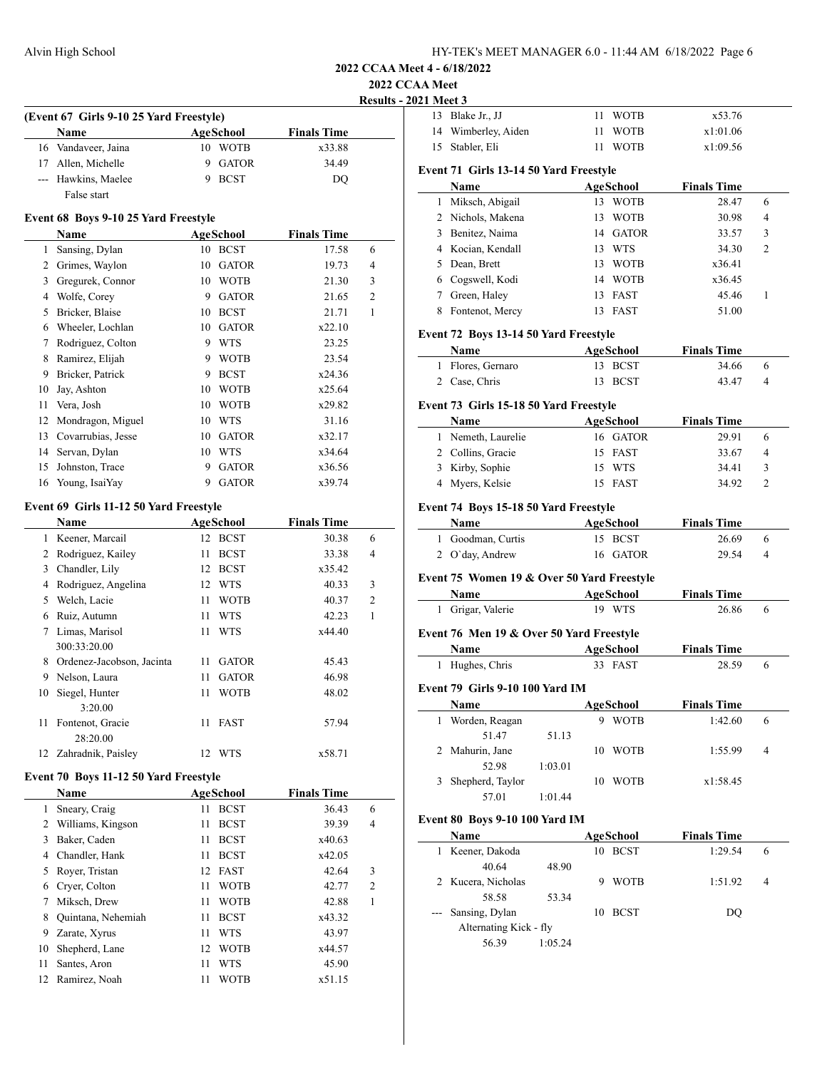**2022 CCAA Meet**

|    | (Event 67 Girls 9-10 25 Yard Freestyle)     |                      |                       |                    |                | Results - 2021 Meet 3<br>13 Blal |
|----|---------------------------------------------|----------------------|-----------------------|--------------------|----------------|----------------------------------|
|    | Name                                        |                      |                       | <b>Finals Time</b> |                | 14<br>Wir                        |
|    | 16 Vandaveer, Jaina                         | AgeSchool<br>10 WOTB |                       | x33.88             |                | 15 Stal                          |
|    | 17 Allen, Michelle                          | 9                    | <b>GATOR</b>          | 34.49              |                |                                  |
|    | --- Hawkins, Maelee                         | 9                    | <b>BCST</b>           | DQ                 |                | Event 71                         |
|    | False start                                 |                      |                       |                    |                | Nai                              |
|    |                                             |                      |                       |                    |                | Mik<br>$\mathbf{1}$              |
|    | Event 68 Boys 9-10 25 Yard Freestyle        |                      |                       |                    |                | 2<br>N <sub>ic</sub>             |
|    | <b>Name</b>                                 | AgeSchool            |                       | <b>Finals Time</b> |                | 3<br>Ben                         |
|    | 1 Sansing, Dylan                            | 10 BCST              |                       | 17.58              | 6              | 4 Koc                            |
|    | 2 Grimes, Waylon                            | 10 GATOR             |                       | 19.73              | 4              | 5<br>Dea                         |
|    | 3 Gregurek, Connor                          | 10 WOTB              |                       | 21.30              | 3              | 6<br>Cog                         |
|    | 4 Wolfe, Corey                              |                      | 9 GATOR               | 21.65              | $\overline{2}$ | 7<br>Gre                         |
|    | 5 Bricker, Blaise                           | 10 BCST              |                       | 21.71              | $\mathbf{1}$   | 8<br>Fon                         |
|    | 6 Wheeler, Lochlan                          |                      | 10 GATOR              | x22.10             |                | Event 72                         |
|    | 7 Rodriguez, Colton                         | 9 WTS                |                       | 23.25              |                | Nai                              |
|    | 8 Ramirez, Elijah                           | 9                    | <b>WOTB</b>           | 23.54              |                | 1 Flor                           |
|    | 9 Bricker, Patrick                          | 9                    | <b>BCST</b>           | x24.36             |                | 2 Cas                            |
| 10 | Jay, Ashton                                 | 10 WOTB              |                       | x25.64             |                |                                  |
| 11 | Vera, Josh                                  | 10 WOTB              |                       | x29.82             |                | Event 73                         |
| 12 | Mondragon, Miguel                           | 10 WTS               |                       | 31.16              |                | Nai                              |
|    | 13 Covarrubias, Jesse                       | 10                   | <b>GATOR</b>          | x32.17             |                | 1<br>Nen                         |
| 14 | Servan, Dylan                               | 10                   | <b>WTS</b>            | x34.64             |                | 2<br>Col                         |
| 15 | Johnston, Trace                             | 9                    | <b>GATOR</b>          | x36.56             |                | 3<br>Kirl                        |
| 16 | Young, IsaiYay                              | 9                    | <b>GATOR</b>          | x39.74             |                | 4<br><b>My</b>                   |
|    |                                             |                      |                       |                    |                |                                  |
|    | Event 69 Girls 11-12 50 Yard Freestyle      |                      |                       |                    |                | Event 74                         |
|    | Name                                        | AgeSchool            |                       | <b>Finals Time</b> |                | Nai                              |
|    | 1 Keener, Marcail                           | 12 BCST              |                       | 30.38              | 6<br>4         | $1$ Goc                          |
|    | 2 Rodriguez, Kailey                         | 11 BCST              |                       | 33.38              |                | $2$ O'd                          |
|    | 3 Chandler, Lily                            | 12 BCST              |                       | x35.42             |                | Event 75                         |
|    | 4 Rodriguez, Angelina                       | 12 WTS               |                       | 40.33              | 3              | Na <sub>1</sub>                  |
|    | 5 Welch, Lacie                              | 11 WOTB              |                       | 40.37              | 2              | 1 Grig                           |
|    | 6 Ruiz, Autumn                              | 11                   | <b>WTS</b>            | 42.23              | 1              |                                  |
|    | 7 Limas, Marisol                            | 11 WTS               |                       | x44.40             |                | Event 76                         |
|    | 300:33:20.00<br>8 Ordenez-Jacobson, Jacinta |                      |                       | 45.43              |                | Nai                              |
|    | 9 Nelson, Laura                             | 11<br>11             | GATOR<br><b>GATOR</b> | 46.98              |                | 1 Hug                            |
|    |                                             | 11 WOTB              |                       |                    |                | Event 79                         |
|    | 10 Siegel, Hunter                           |                      |                       | 48.02              |                | Na                               |
| 11 | 3:20.00<br>Fontenot, Gracie                 | 11 FAST              |                       | 57.94              |                | 1<br>Wo <sub>1</sub>             |
|    | 28:20.00                                    |                      |                       |                    |                |                                  |
|    | 12 Zahradnik, Paisley                       | 12 WTS               |                       | x58.71             |                | Mal<br>2                         |
|    |                                             |                      |                       |                    |                |                                  |
|    | Event 70 Boys 11-12 50 Yard Freestyle       |                      |                       |                    |                | 3 She                            |
|    | Name                                        | <b>AgeSchool</b>     |                       | <b>Finals Time</b> |                |                                  |
|    | 1 Sneary, Craig                             | 11                   | <b>BCST</b>           | 36.43              | 6              |                                  |
|    | 2 Williams, Kingson                         | 11                   | <b>BCST</b>           | 39.39              | 4              | Event 80                         |
|    | 3 Baker, Caden                              | 11                   | <b>BCST</b>           | x40.63             |                | Na                               |
|    | 4 Chandler, Hank                            | 11 BCST              |                       | x42.05             |                | 1 Kee                            |
|    | 5 Royer, Tristan                            | 12 FAST              |                       | 42.64              | 3              |                                  |
|    | 6 Cryer, Colton                             | 11 WOTB              |                       | 42.77              | 2              | 2 Kuc                            |
| 7  | Miksch, Drew                                | 11                   | WOTB                  | 42.88              | 1              |                                  |
| 8  | Quintana, Nehemiah                          | 11                   | <b>BCST</b>           | x43.32             |                | San                              |
| 9. | Zarate, Xyrus                               | 11                   | <b>WTS</b>            | 43.97              |                | A                                |
|    |                                             |                      |                       |                    |                |                                  |
| 10 | Shepherd, Lane                              | 12 WOTB              |                       | x44.57             |                |                                  |
| 11 | Santes, Aron                                | 11                   | <b>WTS</b>            | 45.90              |                |                                  |

| 13           | Blake Jr., JJ                              | 11<br>WOTB           | x53.76             |        |
|--------------|--------------------------------------------|----------------------|--------------------|--------|
| 14           | Wimberley, Aiden                           | 11<br>WOTB           | x1:01.06           |        |
| 15           | Stabler, Eli                               | 11<br><b>WOTB</b>    | x1:09.56           |        |
|              |                                            |                      |                    |        |
|              | Event 71 Girls 13-14 50 Yard Freestyle     |                      |                    |        |
|              | Name                                       | AgeSchool<br>13 WOTB | <b>Finals Time</b> |        |
| 1            | Miksch, Abigail<br>2 Nichols, Makena       | 13<br><b>WOTB</b>    | 28.47              | 6<br>4 |
|              |                                            |                      | 30.98              |        |
|              | 3 Benitez, Naima                           | 14 GATOR             | 33.57              | 3      |
|              | 4 Kocian, Kendall                          | 13 WTS               | 34.30              | 2      |
|              | 5 Dean, Brett                              | 13 WOTB              | x36.41             |        |
|              | 6 Cogswell, Kodi                           | 14 WOTB              | x36.45             |        |
|              | 7 Green, Haley                             | 13 FAST              | 45.46              | 1      |
| 8            | Fontenot, Mercy                            | 13 FAST              | 51.00              |        |
|              | Event 72 Boys 13-14 50 Yard Freestyle      |                      |                    |        |
|              | Name                                       | AgeSchool            | <b>Finals Time</b> |        |
| 1            | Flores, Gernaro                            | 13 BCST              | 34.66              | 6      |
|              | 2 Case, Chris                              | 13 BCST              | 43.47              | 4      |
|              |                                            |                      |                    |        |
|              | Event 73 Girls 15-18 50 Yard Freestyle     |                      |                    |        |
|              | Name                                       | AgeSchool            | <b>Finals Time</b> |        |
|              | 1 Nemeth, Laurelie                         | 16 GATOR             | 29.91              | 6      |
|              | 2 Collins, Gracie                          | 15 FAST              | 33.67              | 4      |
|              | 3 Kirby, Sophie                            | 15 WTS               | 34.41              | 3      |
|              | 4 Myers, Kelsie                            | 15 FAST              | 34.92              | 2      |
|              | Event 74 Boys 15-18 50 Yard Freestyle      |                      |                    |        |
|              | Name                                       | AgeSchool            | <b>Finals Time</b> |        |
|              | 1 Goodman, Curtis                          | 15 BCST              | 26.69              | 6      |
|              | 2 O'day, Andrew                            | 16 GATOR             | 29.54              | 4      |
|              |                                            |                      |                    |        |
|              | Event 75 Women 19 & Over 50 Yard Freestyle |                      |                    |        |
|              | Name                                       | <b>AgeSchool</b>     | <b>Finals Time</b> |        |
|              | 1 Grigar, Valerie                          | 19 WTS               | 26.86              | 6      |
|              | Event 76 Men 19 & Over 50 Yard Freestyle   |                      |                    |        |
|              |                                            |                      |                    |        |
|              | Name                                       | <b>AgeSchool</b>     | <b>Finals Time</b> |        |
| 1            | Hughes, Chris                              | 33 FAST              | 28.59              | 6      |
|              | Event 79 Girls 9-10 100 Yard IM            |                      |                    |        |
|              | Name                                       | AgeSchool            | <b>Finals Time</b> |        |
| 1            | Worden, Reagan                             | 9 WOTB               | 1:42.60            | 6      |
|              | 51.47<br>51.13                             |                      |                    |        |
| 2            | Mahurin, Jane                              | 10 WOTB              | 1:55.99            | 4      |
|              | 52.98<br>1:03.01                           |                      |                    |        |
|              | 3 Shepherd, Taylor                         | 10 WOTB              | x1:58.45           |        |
|              | 57.01<br>1:01.44                           |                      |                    |        |
|              |                                            |                      |                    |        |
|              | Event 80 Boys 9-10 100 Yard IM             |                      |                    |        |
|              | Name                                       | <b>AgeSchool</b>     | <b>Finals Time</b> |        |
| $\mathbf{1}$ | Keener, Dakoda                             | 10 BCST              | 1:29.54            | 6      |
|              | 40.64<br>48.90                             |                      |                    |        |
|              | 2 Kucera, Nicholas                         | <b>WOTB</b><br>9     | 1:51.92            | 4      |
|              | 58.58<br>53.34                             |                      |                    |        |
|              | Sansing, Dylan                             | 10 BCST              | DQ                 |        |
|              | Alternating Kick - fly                     |                      |                    |        |

56.39 1:05.24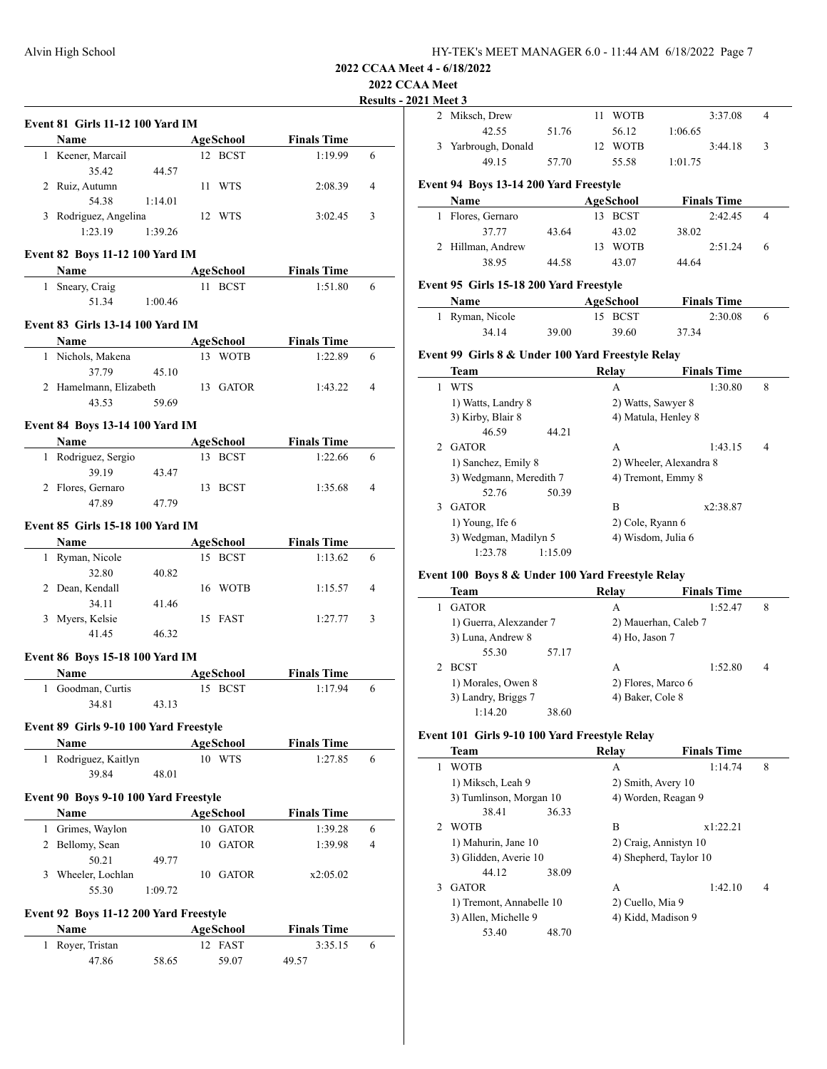## **2022 CCAA**

#### **Property** 2021

|   |                                                                                                                                                                                                                               |         |                  |                    | <b>Results</b> |
|---|-------------------------------------------------------------------------------------------------------------------------------------------------------------------------------------------------------------------------------|---------|------------------|--------------------|----------------|
|   | <b>Event 81 Girls 11-12 100 Yard IM</b>                                                                                                                                                                                       |         |                  |                    |                |
|   | Name                                                                                                                                                                                                                          |         | AgeSchool        | <b>Finals Time</b> |                |
|   | 1 Keener, Marcail                                                                                                                                                                                                             |         | 12 BCST          | 1:19.99            | 6              |
|   | 35.42                                                                                                                                                                                                                         | 44.57   |                  |                    |                |
|   | 2 Ruiz, Autumn                                                                                                                                                                                                                |         | 11 WTS           | 2:08.39            | $\overline{4}$ |
|   | 54.38                                                                                                                                                                                                                         | 1:14.01 |                  |                    |                |
|   | 3 Rodriguez, Angelina                                                                                                                                                                                                         |         | 12 WTS           | 3:02.45            | 3              |
|   | 1:23.19                                                                                                                                                                                                                       | 1:39.26 |                  |                    |                |
|   | Event 82 Boys 11-12 100 Yard IM                                                                                                                                                                                               |         |                  |                    |                |
|   | Name and the same state of the state of the state of the state of the state of the state of the state of the state of the state of the state of the state of the state of the state of the state of the state of the state of |         | <b>AgeSchool</b> | <b>Finals Time</b> |                |
|   | 1 Sneary, Craig                                                                                                                                                                                                               |         | 11 BCST          | 1:51.80            | 6              |
|   | 51.34                                                                                                                                                                                                                         | 1:00.46 |                  |                    |                |
|   | <b>Event 83 Girls 13-14 100 Yard IM</b>                                                                                                                                                                                       |         |                  |                    |                |
|   | <b>Name</b>                                                                                                                                                                                                                   |         | <b>AgeSchool</b> | <b>Finals Time</b> |                |
|   | 1 Nichols, Makena                                                                                                                                                                                                             |         | 13 WOTB          | 1:22.89            | 6              |
|   | 37.79                                                                                                                                                                                                                         | 45.10   |                  |                    |                |
|   | 2 Hamelmann, Elizabeth                                                                                                                                                                                                        |         | 13 GATOR         | 1:43.22            | 4              |
|   | 43.53                                                                                                                                                                                                                         | 59.69   |                  |                    |                |
|   | <b>Event 84 Boys 13-14 100 Yard IM</b>                                                                                                                                                                                        |         |                  |                    |                |
|   | Name $\qquad \qquad$                                                                                                                                                                                                          |         | AgeSchool        | <b>Finals Time</b> |                |
|   | 1 Rodriguez, Sergio                                                                                                                                                                                                           |         | 13 BCST          | 1:22.66            | 6              |
|   | 39.19                                                                                                                                                                                                                         | 43.47   |                  |                    |                |
|   | 2 Flores, Gernaro                                                                                                                                                                                                             |         | 13 BCST          | 1:35.68            | 4              |
|   | 47.89                                                                                                                                                                                                                         | 47.79   |                  |                    |                |
|   | <b>Event 85 Girls 15-18 100 Yard IM</b>                                                                                                                                                                                       |         |                  |                    |                |
|   |                                                                                                                                                                                                                               |         |                  |                    |                |
|   | <b>Name</b>                                                                                                                                                                                                                   |         | AgeSchool        | <b>Finals Time</b> |                |
|   | 1 Ryman, Nicole                                                                                                                                                                                                               |         | 15 BCST          | 1:13.62            | 6              |
|   | 32.80                                                                                                                                                                                                                         | 40.82   | 16 WOTB          | 1:15.57            | 4              |
|   | 2 Dean, Kendall<br>34.11                                                                                                                                                                                                      | 41.46   |                  |                    |                |
|   | 3 Myers, Kelsie                                                                                                                                                                                                               |         | 15 FAST          | 1:27.77            | 3              |
|   | 41.45                                                                                                                                                                                                                         | 46.32   |                  |                    |                |
|   |                                                                                                                                                                                                                               |         |                  |                    |                |
|   | Event 86 Boys 15-18 100 Yard IM                                                                                                                                                                                               |         |                  |                    |                |
|   | Name                                                                                                                                                                                                                          |         | AgeSchool        | <b>Finals Time</b> |                |
|   | 1 Goodman, Curtis                                                                                                                                                                                                             |         | 15 BCST          | 1:17.94            | 6              |
|   | 34.81                                                                                                                                                                                                                         | 43.13   |                  |                    |                |
|   | Event 89 Girls 9-10 100 Yard Freestyle                                                                                                                                                                                        |         |                  |                    |                |
|   | Name                                                                                                                                                                                                                          |         | <b>AgeSchool</b> | <b>Finals Time</b> |                |
|   | 1 Rodriguez, Kaitlyn                                                                                                                                                                                                          |         | 10 WTS           | 1:27.85            | 6              |
|   | 39.84                                                                                                                                                                                                                         | 48.01   |                  |                    |                |
|   |                                                                                                                                                                                                                               |         |                  |                    |                |
|   | Event 90 Boys 9-10 100 Yard Freestyle                                                                                                                                                                                         |         |                  |                    |                |
|   | Name                                                                                                                                                                                                                          |         | <b>AgeSchool</b> | <b>Finals Time</b> |                |
|   | 1 Grimes, Waylon                                                                                                                                                                                                              |         | 10 GATOR         | 1:39.28            | 6              |
|   | 2 Bellomy, Sean                                                                                                                                                                                                               |         | 10 GATOR         | 1:39.98            | 4              |
|   | 50.21                                                                                                                                                                                                                         | 49.77   |                  |                    |                |
|   | 3 Wheeler, Lochlan                                                                                                                                                                                                            |         | 10 GATOR         | x2:05.02           |                |
|   | 55.30                                                                                                                                                                                                                         | 1:09.72 |                  |                    |                |
|   | Event 92 Boys 11-12 200 Yard Freestyle                                                                                                                                                                                        |         |                  |                    |                |
|   | Name                                                                                                                                                                                                                          |         | <b>AgeSchool</b> | <b>Finals Time</b> |                |
| 1 | Royer, Tristan                                                                                                                                                                                                                |         | 12 FAST          | 3:35.15            | 6              |
|   | 47.86                                                                                                                                                                                                                         | 58.65   | 59.07            | 49.57              |                |
|   |                                                                                                                                                                                                                               |         |                  |                    |                |
|   |                                                                                                                                                                                                                               |         |                  |                    |                |

| <b>AA Meet</b><br><b>)21 Meet 3</b> |                                                   |         |                         |                     |                      |                    |   |
|-------------------------------------|---------------------------------------------------|---------|-------------------------|---------------------|----------------------|--------------------|---|
|                                     | 2 Miksch, Drew                                    |         | 11                      | WOTB                |                      | 3:37.08            | 4 |
|                                     | 42.55                                             | 51.76   |                         | 56.12               | 1:06.65              |                    |   |
| 3                                   | Yarbrough, Donald                                 |         |                         | 12 WOTB             |                      | 3:44.18            | 3 |
|                                     | 49.15                                             | 57.70   |                         | 55.58               | 1:01.75              |                    |   |
|                                     |                                                   |         |                         |                     |                      |                    |   |
|                                     | Event 94 Boys 13-14 200 Yard Freestyle<br>Name    |         |                         | <b>AgeSchool</b>    |                      | <b>Finals Time</b> |   |
| 1                                   | Flores, Gernaro                                   |         |                         | 13 BCST             |                      | 2:42.45            | 4 |
|                                     | 37.77                                             | 43.64   |                         | 43.02               | 38.02                |                    |   |
|                                     | 2 Hillman, Andrew                                 |         |                         | 13 WOTB             |                      | 2:51.24            | 6 |
|                                     | 38.95                                             | 44.58   |                         | 43.07               | 44.64                |                    |   |
|                                     |                                                   |         |                         |                     |                      |                    |   |
|                                     | Event 95 Girls 15-18 200 Yard Freestyle           |         |                         |                     |                      |                    |   |
|                                     | Name                                              |         |                         | <b>AgeSchool</b>    |                      | <b>Finals Time</b> |   |
|                                     | 1 Ryman, Nicole                                   |         |                         | 15 BCST             |                      | 2:30.08            | 6 |
|                                     | 34.14                                             | 39.00   |                         | 39.60               | 37.34                |                    |   |
|                                     | Event 99 Girls 8 & Under 100 Yard Freestyle Relay |         |                         |                     |                      |                    |   |
|                                     | Team                                              |         |                         | <b>Relay</b>        |                      | <b>Finals Time</b> |   |
| 1                                   | <b>WTS</b>                                        |         |                         | A                   |                      | 1:30.80            | 8 |
|                                     | 1) Watts, Landry 8                                |         |                         | 2) Watts, Sawyer 8  |                      |                    |   |
|                                     | 3) Kirby, Blair 8                                 |         |                         | 4) Matula, Henley 8 |                      |                    |   |
|                                     | 46.59                                             | 44.21   |                         |                     |                      |                    |   |
|                                     | 2 GATOR                                           |         |                         | A                   |                      | 1:43.15            | 4 |
|                                     | 1) Sanchez, Emily 8                               |         | 2) Wheeler, Alexandra 8 |                     |                      |                    |   |
|                                     | 3) Wedgmann, Meredith 7                           |         |                         | 4) Tremont, Emmy 8  |                      |                    |   |
|                                     | 52.76                                             | 50.39   |                         |                     |                      |                    |   |
|                                     | 3 GATOR                                           |         |                         | B                   |                      | x2:38.87           |   |
|                                     | 1) Young, Ife 6                                   |         |                         | 2) Cole, Ryann 6    |                      |                    |   |
|                                     | 3) Wedgman, Madilyn 5                             |         |                         | 4) Wisdom, Julia 6  |                      |                    |   |
|                                     | 1:23.78                                           | 1:15.09 |                         |                     |                      |                    |   |
|                                     | Event 100 Boys 8 & Under 100 Yard Freestyle Relay |         |                         |                     |                      |                    |   |
|                                     | Team                                              |         |                         | Relay               |                      | <b>Finals Time</b> |   |
| $\mathbf{1}$                        | <b>GATOR</b>                                      |         |                         | A                   |                      | 1:52.47            | 8 |
|                                     | 1) Guerra, Alexzander 7                           |         |                         |                     | 2) Mauerhan, Caleb 7 |                    |   |
|                                     | 3) Luna, Andrew 8                                 |         |                         | 4) Ho, Jason 7      |                      |                    |   |
|                                     | 55.30                                             | 57.17   |                         |                     |                      |                    |   |
| 2                                   | <b>BCST</b>                                       |         |                         | А                   |                      | 1:52.80            | 4 |
|                                     | 1) Morales, Owen 8                                |         |                         | 2) Flores, Marco 6  |                      |                    |   |
|                                     | 3) Landry, Briggs 7                               |         |                         | 4) Baker, Cole 8    |                      |                    |   |
|                                     | 1:14.20                                           | 38.60   |                         |                     |                      |                    |   |
|                                     | Event 101 Girls 9-10 100 Yard Freestyle Relay     |         |                         |                     |                      |                    |   |
|                                     | Team                                              |         |                         | Relay               |                      | <b>Finals Time</b> |   |
| 1                                   | <b>WOTB</b>                                       |         |                         | A                   |                      | 1:14.74            | 8 |
|                                     | 1) Miksch, Leah 9                                 |         |                         | 2) Smith, Avery 10  |                      |                    |   |
|                                     | 3) Tumlinson, Morgan 10                           |         |                         |                     | 4) Worden, Reagan 9  |                    |   |
|                                     |                                                   |         |                         |                     |                      |                    |   |

38.41 36.33

44.12 38.09

53.40 48.70

2 WOTB B x1:22.21 1) Mahurin, Jane 10 2) Craig, Annistyn 10 3) Glidden, Averie 10 4) Shepherd, Taylor 10

1) Tremont, Annabelle 10 2) Cuello, Mia 9 3) Allen, Michelle 9 4) Kidd, Madison 9

3 GATOR A 1:42.10 4